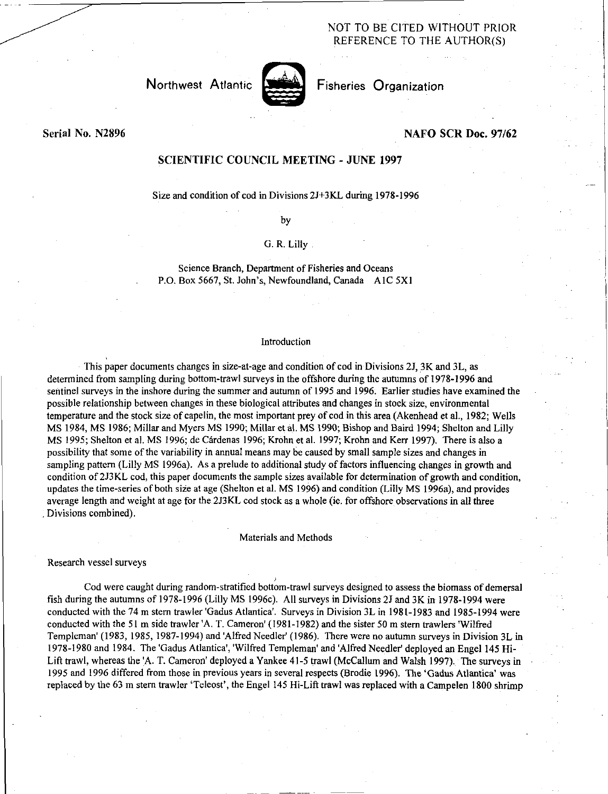# NOT TO BE CITED WITHOUT PRIOR REFERENCE TO THE AUTHOR(S) NOT TO BE CITED WIT<br>REFERENCE TO THE<br>Northwest Atlantic Fisheries Organization



## Serial No. N2896 NAFO SCR Doc. 97/62

## SCIENTIFIC COUNCIL MEETING - JUNE 1997

Size and condition of cod in Divisions 2J+3KL during 1978-1996

by

## G. R. Lilly

Science Branch, Department of Fisheries and Oceans P.O. Box 5667, St. John's, Newfoundland, Canada A IC 5X1

### Introduction

This paper documents changes in size-at-age and condition of cod in Divisions 2J, 3K and 3L, as determined from sampling during bottom-trawl surveys in the offshore during the autumns of 1978-1996 and sentinel surveys in the inshore during the summer and autumn of 1995 and 1996. Earlier studies have examined the possible relationship between changes in these biological attributes and changes in stock size, environmental temperature and the stock size of capelin, the most important prey of cod in this area (Akenhead et al., 1982; Wells MS 1984, MS 1986; Millar and Myers MS 1990; Millar et al. MS 1990; Bishop and Baird 1994; Shelton and Lilly MS 1995; Shelton et al. MS 1996; de Cardenas 1996; Krohn et al. 1997; Krohn and Kerr 1997). There is also a possibility that some of the variability in annual means may be caused by small sample sizes and changes in sampling pattern (Lilly MS 1996a). As a prelude to additional study of factors influencing changes in growth and condition of 2J3KL cod, this paper documents the sample sizes available for determination of growth and condition, updates the time-series of both size at age (Shelton et al. MS 1996) and condition (Lilly MS 1996a), and provides average length and weight at age for the 2J3KL cod stock as a whole (ie. for offshore observations in all three Divisions combined).

#### Materials and Methods

#### Research vessel surveys

Cod were caught during random-stratified bottom-trawl surveys designed to assess the biomass of demersal fish during the autumns of 1978-1996 (Lilly MS 1996c). All surveys in Divisions 2J and 3K in 1978-1994 were conducted with the 74 m stern trawler 'Gadus Atlantica'. Surveys in Division 3L in 1981-1983 and 1985-1994 were conducted with the 51 m side trawler 'A. T. Cameron' (1981-1982) and the sister 50 m stern trawlers 'Wilfred Templeman' (1983, 1985, 1987-1994) and 'Alfred Needier' (1986). There were no autumn surveys in Division 3L in 1978-1980 and 1984. The 'Gadus Atlantica', 'Wilfred Templeman' and 'Alfred Needier' deployed an Engel 145 Hi-Lift trawl, whereas the 'A. T. Cameron' deployed a Yankee 41-5 trawl (McCallum and Walsh 1997). The surveys in 1995 and 1996 differed from those in previous years in several respects (Brodie 1996). The `Gadus Atlantica' was replaced by the 63 m stern trawler 'Teleost', the Engel 145 Hi-Lift trawl was replaced with a Campelen 1800 shrimp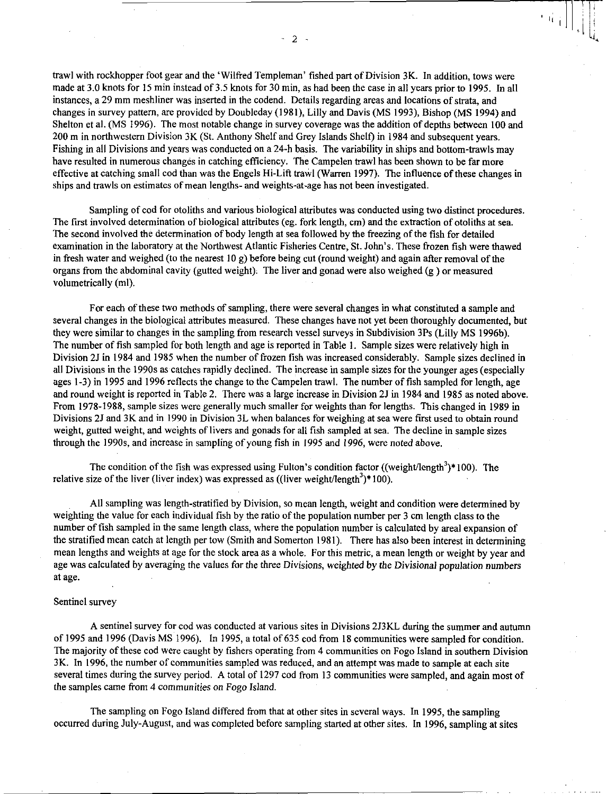trawl with rockhopper foot gear and the 'Wilfred Templeman' fished part of Division 3K. In addition, tows were made at 3.0 knots for 15 min instead of 3.5 knots for 30 min, as had been the case in all years prior to 1995. In all instances, a 29 mm meshliner was inserted in the codend. Details regarding areas and locations of strata, and changes in survey pattern, are provided by Doubleday (1981), Lilly and Davis (MS 1993), Bishop (MS 1994) and Shelton et al. (MS 1996). The most notable change in survey coverage was the addition of depths between 100 and 200 m in northwestern Division 3K (St. Anthony Shelf and Grey Islands Shelf) in 1984 and subsequent years. Fishing in all Divisions and years was conducted on a 24-h basis. The variability in ships and bottom-trawls may have resulted in numerous changes in catching efficiency. The Campelen trawl has been shown to be far more effective at catching small cod than was the Engels Hi-Lift trawl (Warren 1997). The influence of these changes in ships and trawls on estimates of mean lengths- and weights-at-age has not been investigated.

Sampling of cod for otoliths and various biological attributes was conducted using two distinct procedures. The first involved determination of biological attributes (eg. fork length, cm) and the extraction of otoliths at sea. The second involved the determination of body length at sea followed by the freezing of the fish for detailed examination in the laboratory at the Northwest Atlantic Fisheries Centre, St. John's. These frozen fish were thawed in fresh water and weighed (to the nearest 10 g) before being cut (round weight) and again after removal of the organs from the abdominal cavity (gutted weight). The liver and gonad were also weighed (g ) or measured volumetrically (ml).

For each of these two methods of sampling, there were several changes in what constituted a sample and several changes in the biological attributes measured. These changes have not yet been thoroughly documented, but they were similar to changes in the sampling from research vessel surveys in Subdivision 3Ps (Lilly MS 1996b). The number of fish sampled for both length and age is reported in Table 1. Sample sizes were relatively high in Division 2J in 1984 and 1985 when the number of frozen fish was increased considerably. Sample sizes declined in all Divisions in the 1990s as catches rapidly declined. The increase in sample sizes for the younger ages (especially ages 1-3) in 1995 and 1996 reflects the change to the Campelen trawl. The number of fish sampled for length, age and round weight is reported in Table 2. There was a large increase in Division 2J in 1984 and 1985 as noted above. From 1978-1988, sample sizes were generally much smaller for weights than for lengths. This changed in 1989 in Divisions 2J and 3K and in 1990 in Division 3L when balances for weighing at sea were first used to obtain round weight, gutted weight, and weights of livers and gonads for all fish sampled at sea. The decline in sample sizes through the 1990s, and increase in sampling of young fish in 1995 and *1996,* were noted above.

The condition of the fish was expressed using Fulton's condition factor ((weight/length $3$ )\*100). The relative size of the liver (liver index) was expressed as  $((\text{liver weight/length}^3)^*100)$ .

All sampling was length-stratified by Division, so mean length, weight and condition were determined by weighting the value for each individual fish by the ratio of the population number per 3 cm length class to the number of fish sampled in the same length class, where the population number is calculated by areal expansion of the stratified mean catch at length per tow (Smith and Somerton 1981). There has also been interest in determining mean lengths and weights at age for the stock area as a whole. For this metric, a mean length or weight by year and age was calculated by averaging the values for the three Divisions, weighted by the *Divisional* population numbers at age.

## Sentinel survey

A sentinel survey for cod was conducted at various sites in Divisions 2J3KL during the summer and autumn of 1995 and 1996 (Davis MS 1996). In 1995, a total of 635 cod from 18 communities were sampled for condition. The majority of these cod were caught by fishers operating from 4 communities on Fogo Island in southern Division 3K. In 1996, the number of communities sampled was reduced, and an attempt was made to sample at each site several times during the survey period. A total of 1297 cod from 13 communities were sampled, and again most of the samples came from 4 communities on Fogo Island.

The sampling on Fogo Island differed from that at other sites in several ways. In 1995, the sampling occurred during July-August, and was completed before sampling started at other sites. In 1996, sampling at sites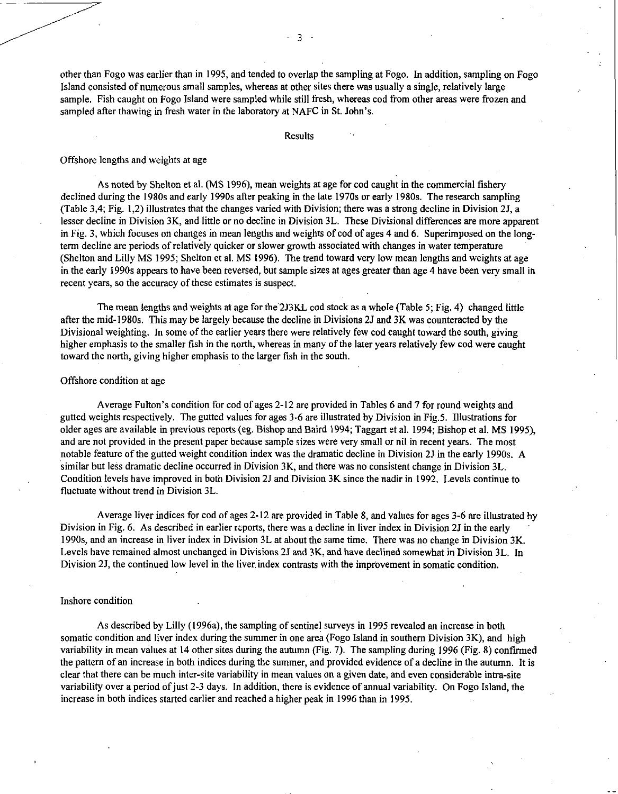other than Fogo was earlier than in 1995, and tended to overlap the sampling at Fogo. In addition, sampling on Fogo Island consisted of numerous small samples, whereas at other sites there was usually a single, relatively large sample. Fish caught on Fogo Island were sampled while still fresh, whereas cod from other areas were frozen and sampled after thawing in fresh water in the laboratory at NAFC in St. John's.

#### Results

## Offshore lengths and weights at age

As noted by Shelton et al. (MS 1996), mean weights at age for cod caught in the commercial fishery declined during the 1980s and early 1990s after peaking in the late 1970s or early 1980s. The research sampling (Table 3,4; Fig. 1,2) illustrates that the changes varied with Division; there was a strong decline in Division 2J, a lesser decline in Division 3K, and little or no decline in Division 3L. These Divisional differences are more apparent in Fig. 3, which focuses on changes in mean lengths and weights of cod of ages 4 and 6. Superimposed on the longterm decline are periods of relatively quicker or slower growth associated with changes in water temperature (Shelton and Lilly MS 1995; Shelton et al. MS 1996). The trend toward very low mean lengths and weights at age in the early 1990s appears to have been reversed, but sample sizes at ages greater than age 4 have been very small in recent years, so the accuracy of these estimates is suspect.

The mean lengths and weights at age for the 2J3KL cod stock as a whole (Table 5; Fig. 4) changed little after the mid-1980s. This may be largely because the decline in Divisions 2J and 3K was counteracted by the Divisional weighting. In some of the earlier years there were relatively few cod caught toward the south, giving higher emphasis to the smaller fish in the north, whereas in many of the later years relatively few cod were caught toward the north, giving higher emphasis to the larger fish in the south.

## Offshore condition at age

Average Fulton's condition for cod of ages 2-12 are provided in Tables 6 and 7 for round weights and gutted weights respectively. The gutted values for ages 3-6 are illustrated by Division in Fig.5. Illustrations for older ages are available in previous reports (eg. Bishop and Baird 1994; Taggart et al. 1994; Bishop et al. MS 1995), and are not provided in the present paper because sample sizes were very small or nil in recent years. The most notable feature of the gutted weight condition index was the dramatic decline in Division 2J in the early 1990s. A similar but less dramatic decline occurred in Division 3K, and there was no consistent change in Division 3L. Condition levels have improved in both Division 2J and Division 3K since the nadir in 1992. Levels continue to fluctuate without trend in Division 3L.

Average liver indices for cod of ages 2-12 are provided in Table 8, and values for ages 3-6 are illustrated by Division in Fig. 6. As described in earlier rcports, there was a decline in liver index in Division 2J in the early 1990s, and an increase in liver index in Division 3L at about the same time. There was no change in Division 3K. Levels have remained almost unchanged in Divisions 2J and 3K, and have declined somewhat in Division 3L. In Division 2J, the continued low level in the liver index contrasts with the improvement in somatic condition.

#### Inshore condition

As described by Lilly (1996a), the sampling of sentinel surveys in 1995 revealed an increase in both somatic condition and liver index during the summer in one area (Fogo Island in southern Division 3K), and high variability in mean values at 14 other sites during the autumn (Fig. 7). The sampling during 1996 (Fig. 8) confirmed the pattern of an increase in both indices during the summer, and provided evidence of a decline in the autumn. It is clear that there can be much inter-site variability in mean values on a given date, and even considerable intra-site variability over a period of just 2-3 days. In addition, there is evidence of annual variability. On Fogo Island, the increase in both indices started earlier and reached a higher peak in 1996 than in 1995.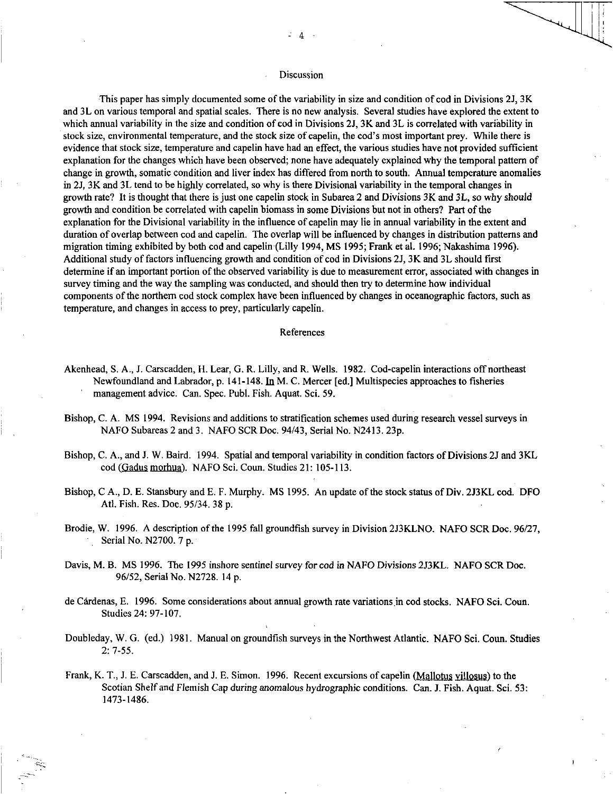#### Discussion

This paper has simply documented some of the variability in size and condition of cod in Divisions 23, 3K and 3L on various temporal and spatial scales. There is no new analysis. Several studies have explored the extent to which annual variability in the size and condition of cod in Divisions 2J, 3K and 3L is correlated with variability in stock size, environmental temperature, and the stock size of capelin, the cod's most important prey. While there is evidence that stock size, temperature and capelin have had an effect, the various studies have not provided sufficient explanation for the changes which have been observed; none have adequately explained why the temporal pattern of change in growth, somatic condition and liver index has differed from north to south. Annual temperature anomalies in 2J, 3K and 3L tend to be highly correlated, so why is there Divisional variability in the temporal changes in growth rate? It is thought that there is just one capelin stock in Subarea 2 and Divisions 3K and 3L, so why should growth and condition be correlated with capelin biomass in some Divisions but not in others? Part of the explanation for the Divisional variability in the influence of capelin may lie in annual variability in the extent and duration of overlap between cod and capelin. The overlap will be influenced by changes in distribution patterns and migration timing exhibited by both cod and capelin (Lilly 1994, MS 1995; Frank et al. 1996; Nakashima 1996). Additional study of factors influencing growth and condition of cod in Divisions 2J, 3K and 3L should first determine if an important portion of the observed variability is due to measurement error, associated with changes in survey timing and the way the sampling was conducted, and should then try to determine how individual components of the northern cod stock complex have been influenced by changes in oceanographic factors, such as temperature, and changes in access to prey, particularly capelin.

## References

- Akenhead, S. A., J. Carscadden, H. Lear, G. R. Lilly, and R. Wells. 1982. Cod-capelin interactions off northeast Newfoundland and Labrador, p. 141-148. In M. C. Mercer [ed.] Multispecies approaches to fisheries management advice. Can. Spec. Publ. Fish. Aquat. Sci. 59.
- Bishop, C. A. MS 1994. Revisions and additions to stratification schemes used during research vessel surveys in NAFO Subareas 2 and 3. NAFO SCR Doc. 94/43, Serial No. N2413. 23p.
- Bishop, C. A., and J. W. Baird. 1994. Spatial and temporal variability in condition factors of Divisions 2J and 3KL cod (Gadus morhua). NAFO Sci. Coun. Studies 21: 105-113.
- Bishop, C A., D. E. Stansbury and E. F. Murphy. MS 1995. An update of the stock status of Div. 2J3KL cod. DFO Atl. Fish. Res. Doc. 95/34. 38 p.
- Brodie, W. 1996. A description of the 1995 fall groundfish survey in Division 2J3KLNO. NAFO SCR Doc. 96/27, Serial No. N2700. 7 p.
- Davis, M. B. MS 1996. The 1995 inshore sentinel survey for cod *in* NAFO Divisions 2J3KL. NAFO SCR Doc. 96/52, Serial No. N2728. 14 p.
- de Cárdenas, E. 1996. Some considerations about annual growth rate variations in cod stocks. NAFO Sci. Coun. Studies 24: 97-107.
- Doubleday, W. G. (ed.) 1981. Manual on groundfish surveys in the Northwest Atlantic. NAFO Sci. Coun. Studies 2: 7-55.
- Frank, K. T., J. E. Carscadden, and J. E. Simon. 1996. Recent excursions of capelin (Mallotus villosus) to the Scotian Shelf and Flemish Cap during anomalous hydrographic conditions. Can. J. Fish. Aquat. Sci. 53: 1473-1486.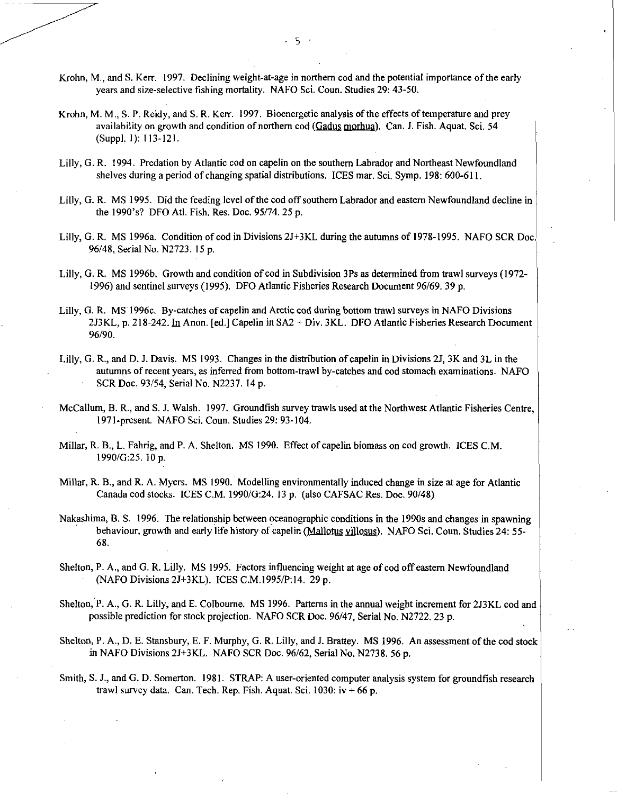- Krohn, M., and S. Kerr. 1997. Declining weight-at-age in northern cod and the potential importance of the early years and size-selective fishing mortality. NAFO Sci. Coun. Studies 29: 43-50.
- Krohn, M. M., S. P. Reidy, and S. R. Kerr. 1997. Bioenergetic analysis of the effects of temperature and prey availability on growth and condition of northern cod  $(Gadus$  morhua). Can. J. Fish. Aquat. Sci. 54 (Suppl. 1): 113-121.
- Lilly, G. R. 1994. Predation by Atlantic cod on capelin on the southern Labrador and Northeast Newfoundland shelves during a period of changing spatial distributions. ICES mar. Sci. Symp. 198: 600-611.
- Lilly, G. R. MS 1995. Did the feeding level of the cod off southern Labrador and eastern Newfoundland decline in the 1990's? DFO AtI. Fish. Res. Doc. 95/74.25 p.
- Lilly, G. R. MS 1996a. Condition of cod in Divisions 2J+3KL during the autumns of 1978-1995. NAFO SCR Doc. 96/48, Serial No. N2723. 15 p.
- Lilly, G. R. MS 19966. Growth and condition of cod in Subdivision 3Ps as determined from trawl surveys (1972- 1996) and sentinel surveys (1995). DFO Atlantic Fisheries Research Document 96/69.39 p.
- Lilly, G. R. MS 1996c. By-catches of capelin and Arctic cod during bottom trawl surveys in NAFO Divisions 2J3KL, p. 218-242. In Anon. [ed.] Capelin in SA2 + Div. 3KL. DFO Atlantic Fisheries Research Document 96/90.
- Lilly, G. R., and D. J. Davis. MS 1993. Changes in the distribution of capelin in Divisions 2J, 3K and 3L in the autumns of recent years, as inferred from bottom -trawl by-catches and cod stomach examinations. NAFO SCR Doc. 93/54, Serial No. N2237. 14 p.
- McCallum, B. R., and S. J. Walsh. 1997. Groundfish survey trawls used at the Northwest Atlantic Fisheries Centre, 1971-present. NAFO Sci. Coun. Studies 29: 93-104.
- Millar, R. B., L. Fahrig, and P. A. Shelton. MS 1990. Effect of capelin biomass on cod growth. ICES C.M. 1990/G:25. 10 p.
- Millar, R. B., and R. A. Myers. MS 1990. Modelling environmentally induced change in size at age for Atlantic Canada cod stocks. ICES C.M. 1990/G:24. 13 p. (also CAFSAC Res. Doc. 90/48)
- Nakashima, B. S. 1996. The relationship between oceanographic conditions in the 1990s and changes in spawning behaviour, growth and early life history of capelin (Mallotus villosus). NAFO Sci. Coun. Studies 24: 55-68.
- Shelton, P. A., and G. R. Lilly. MS 1995. Factors influencing weight at age of cod off eastern Newfoundland (NAFO Divisions 2J+3KL). ICES C.M.1995/P:14. 29 p.
- Shelton, P. A., G. R. Lilly, and E. Colbourne. MS 1996. Patterns in the annual weight increment for 2J3KL cod and possible prediction for stock projection. NAFO SCR Doc. 96/47, Serial No. N2722. 23 p.
- Shelton, P. A., 1D. E. Stansbury, E. F. Murphy, G. R. Lilly, and J. Brattey. MS 1996. An assessment of the cod stock in NAFO Divisions 2J+3KL. NAFO SCR Doc. 96/62, Serial No. N2738. 56 p.
- Smith, S. J., and G. D. Somerton. 1981. STRAP: A user-oriented computer analysis system for groundfish research trawl survey data. Can. Tech. Rep. Fish. Aquat. Sci.  $1030$ : iv + 66 p.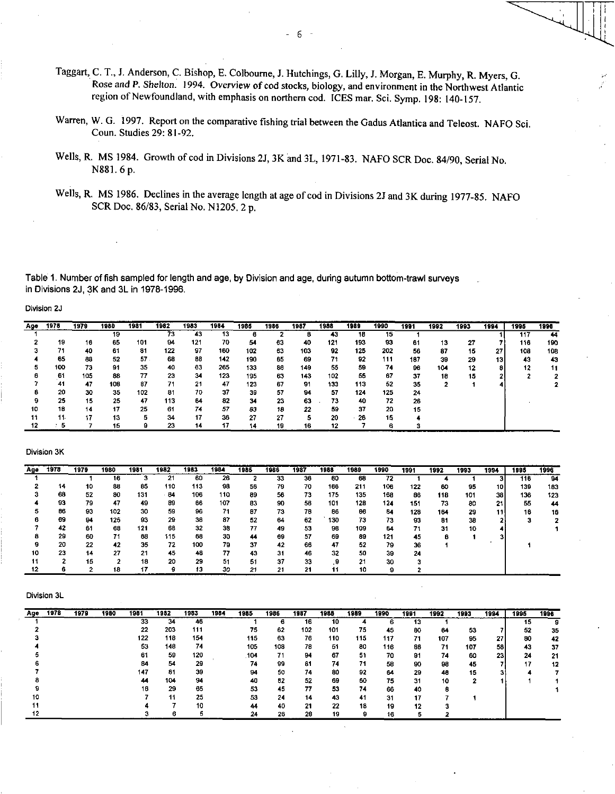- Taggart, C. T., J. Anderson, C. Bishop, E. Colbourne, J. Hutchings, G. Lilly, J. Morgan, E. Murphy, R. Myers, G. Rose and P. *Shelton.* 1994. Overview of cod stocks, biology, and environment in the Northwest Atlantic region of Newfoundland, with emphasis on northern cod. ICES mar. Sci. Symp. 198: 140-157.
- Warren, W. G. 1997. Report on the comparative fishing trial between the Gadus Atlantica and Teleost. NAFO Sci. Coun. Studies 29: 81-92.
- Wells, R. MS 1984. Growth of cod in Divisions 2J, 3K and 3L, 1971-83. NAFO SCR Doc. 84/90, Serial No. N881. 6 p.
- Wells, R. MS 1986. Declines in the average length at age of cod in Divisions 2J and 3K during 1977-85. NAFO SCR Doc. 86/83, Serial No. NI205. 2 p.

Table 1. Number of fish sampled for length and age, by Division and age, during autumn bottom-trawl surveys in Divisions 2J, 3K and 3L in 1978-1996.

Division 2J

| Age | 1978 | 1979 | 1980 | 1981 | 1982 | 1983 | 1984 | 1985 | 1986 | 1987 | 1988 | 1989  | 1990 | 1991 | 1992 | 1993 | 1994            | 1995 | 1996 |
|-----|------|------|------|------|------|------|------|------|------|------|------|-------|------|------|------|------|-----------------|------|------|
|     |      |      | 19   |      | 73   | 43   | 13   | в    |      |      | 43   | 18    | 15   |      |      |      |                 | 117  | 44   |
|     | 19   | 16   | 65   | 101  | 94   | 121  | 70   | 54   | 63   | 40   | 121  | 193   | 93   | 61   | 13   | 27   |                 | 116  | 190  |
|     | 71   | 40   | 61   | 81   | 122  | 97   | 160  | 102  | 63   | 103  | 92   | 125   | 202  | 56   | 87   | 15   | 27              | 108  | 108  |
|     | 65   | 88   | 52   | 57.  | 68   | 88   | 142  | 190  | 65   | 69   | 71   | 92    | 111  | 187  | 39   | 29   | 13 <sub>1</sub> | 43   | 43   |
|     | 100  | 73   | 91   | -35  | 40   | 63   | 265  | 133  | 86   | 149  | 55   | 59    | 74   | 96   | 104  | 12   |                 | 12   | 11   |
|     | -61  | 105  | 88   | 77   | 23   | 34   | 123  | 195  | 63   | 143  | 102  | 55    | 67   | 37   | 18   | 15   |                 |      |      |
|     | 41   | 47   | 108  | 87   | 71   | 21   | 47   | 123  | 67   | 91   | 133  | 113   | 52   | 35   |      |      |                 |      |      |
|     | 20   | 30   | 35   | 102  | 81   | 70   | 37   | 39   | 57   | 94   | 57   | 124   | 125  | 24   |      |      |                 |      |      |
|     | 25   | 15   | 25   | 47   | 113  | 64   | 82   | 34   | 23   | 63   | 73   | 40    | 72   | 26   |      |      |                 |      |      |
| 10  | 18   | 14   | 17   | 25   | 61   | 74   | 57   | 63   | 18   | 22   | 59   | 37    | 20   | 15   |      |      |                 |      |      |
|     | 11.  | 17   | 13   | 5    | 34   | 17   | 36   | 27   | 27   |      | 20   | $-28$ | 15   |      |      |      |                 |      |      |
|     |      |      | 15   |      | 23   | 14   | 17   | 14   | 19   | 16   | 12   |       | в    |      |      |      |                 |      |      |

#### Division 3K

| Age | 1978      | 1979 | 1980 | 1981 | 1982 | 1983 | 1984 | 1985 | 1986 | 1987 | 1988 | 1989 | 1990 | 1991 | 1992 | 1993 | 1994 | 1995 | 1996 |
|-----|-----------|------|------|------|------|------|------|------|------|------|------|------|------|------|------|------|------|------|------|
|     |           |      | 16   |      | 21   | 60   | 26   |      | 33   | 36   | 60   | 68   | 72   |      |      |      | з    | 116  | 94   |
|     | 14        | 10   | 88   | 85   | 110  | 113  | 98   | 56   | 79   | 70   | 166  | 211  | 106  | 122  | 60   | 95   | 10   | 139  | 183  |
|     | 68        | 52   | 80   | 131  | 84   | 106  | 110  | 89   | 56   | 73   | 175  | 135  | 168  | 86   | 118  | 101  | 38   | 136  | 123  |
|     | 93        | 79   | 47   | 49   | 89   | 66   | 107  | 83   | 90   | 56   | 101  | 128  | 124  | 151  | 73   | 80   | 21   | 55   | 44   |
|     | <b>B6</b> | 93   | 102  | 30   | 59   | 96   | 71   | 87   | 73   | 78   | 86   | 86   | 84   | 128  | 164  | 29   | 11   | 16   | 16   |
|     | 69        | 94   | 125  | 93   | 29   | 36   | 87   | 52   | 64   | 62   | 130  | 73   | 73   | 93   | 81   | 38   |      |      |      |
|     | 42        | 61   | 68   | 121  | 68   | 32   | 38   | 77   | 49   | 53   | 98   | 109  | 64   | 71   | 31   | 10   |      |      |      |
|     | 29        | 60   | 71   | 68   | 115  | 68   | 30   | 44   | 69   | 57   | 69   | 89   | 121  | 45   | 8    |      |      |      |      |
|     | 20        | 22   | 42   | 35   | 72   | 100  | 79   | 37   | 42   | 66   | 47   | 52   | 79   | 36   |      |      |      |      |      |
| 10  | 23        | 14   | 27   | 21   | 45   | 48   | 77   | 43   | 31   | 46   | -32  | 50   | 39   | 24   |      |      |      |      |      |
|     |           | 15   |      | 18   | 20   | 29   | 51   | 51   | 37   | 33   | 9    | 21   | 30   |      |      |      |      |      |      |
|     | 6         | ◠    | 18   | 17   | 9    | 13   | 30   | 21   | 21   | 21   | 11   | 10   |      |      |      |      |      |      |      |

| Аде | 1978 | 1979 | 1980 | 1981 | 1982 | 1983 | 1984 | 1985 | 1986 | 1987 | 1988 | 1989 | 1990 | 1991 | 1992 | 1993 | 1994 | 1995 | 1996 |
|-----|------|------|------|------|------|------|------|------|------|------|------|------|------|------|------|------|------|------|------|
|     |      |      |      | 33   | 34   | 46   |      |      | в    | 16   | 10   |      |      | 13   |      |      |      | 15   |      |
|     |      |      |      | 22   | 203  | 111  |      | 75   | 62   | 102  | 101  | 75   | 45   | 80   | 64   | 53   |      | 52   | 35   |
|     |      |      |      | 122  | 118  | 154  |      | 115  | 63   | 76   | 110  | 115  | 117  | 71   | 107  | 95   | 27   | 80   | 42   |
|     |      |      |      | 53   | 146  | 74   |      | 105  | 108  | 78   | 51   | 80   | 116  | 88   | 71   | 107  | 58   | 43   | 37   |
|     |      |      |      | 61   | 59   | 120  |      | .104 | 71   | 94   | 67   | 51   | 70   | 91   | 74   | 60   | 23   | 24   | 21   |
|     |      |      |      | 84   | 54   | 29   |      | 74   | 99   | 81   | 74   | 71   | 58   | 90   | 98   | 45   |      | 17   | 12   |
|     |      |      |      | 147  | 81   | 39   |      | 94   | 50   | 74   | 80   | 92   | 64   | 29   | 48   | 15   |      |      |      |
|     |      |      |      | 44   | 104  | 94   |      | 40   | 82   | 52   | 69   | 60   | 75   | 31   | 10   |      |      |      |      |
|     |      |      |      | 16   | 29   | 65   |      | 53   | 45   | 77   | 53   | 74   | 66   | 40   |      |      |      |      |      |
|     |      |      |      |      | -11  | 25   |      | 53   | 24   | 14   | 43   | 41   | 31   | 17   |      |      |      |      |      |
|     |      |      |      |      |      | 10   |      | 44   | 40   | 21   | 22   | 18   | 19   | 12   |      |      |      |      |      |
|     |      |      |      |      |      |      |      | 24   | 26   | 20   | 19   |      | 16   |      |      |      |      |      |      |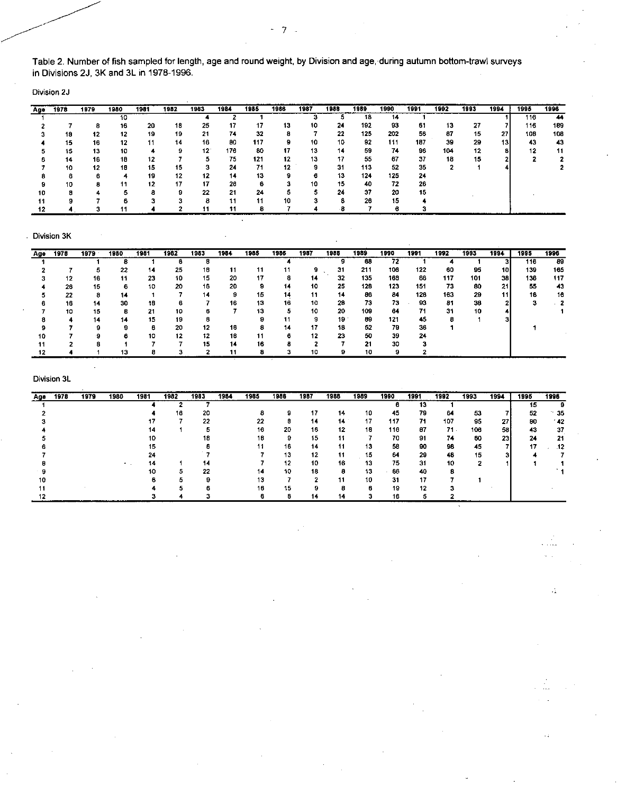Table 2. Number of fish sampled for length, age and round weight, by Division and age, during autumn bottom-trawl surveys in Divisions 2J, 3K and 3L in 1978-1996.

 $\ddot{\phantom{0}}$ 

- 7

Division 2J

| Age | 1978 | 1979 | 1980 | 1981 | 1982 | 1983         | 1984 | 1985 | 1986 | 1987 | 1988 | 1989 | 1990 | 1991 | 1992 | 1993 | 1994            | 1995 | 1996 |
|-----|------|------|------|------|------|--------------|------|------|------|------|------|------|------|------|------|------|-----------------|------|------|
|     |      |      | 10   |      |      |              |      |      |      |      |      | 18   | 14   |      |      |      |                 | 116  | 44   |
|     |      |      | 16   | 20   | 18   | 25           | 17   | 17   | 13   | 10   | 24   | 192  | 93   | 61   | 13   | 27   |                 | 116  | 189  |
|     | 18   | 12   | 12   | 19   | 19   | 21           | 74   | 32   | я    |      | 22   | 125  | 202  | 56   | 87   | 15   | 27              | 108  | 108  |
|     | 15   | 16   | 12   | -11  | 14   | 16           | 80   | 117  | 9    | 10   | 10   | 92   | 111  | 187  | 39   | 29   | 13 <sub>l</sub> | 43   | 43   |
|     | 15   | 13   | 10   |      | 9.   | $12^{\circ}$ | 176  | 80   | 17   | 13   | 14   | 59   | 74   | 96   | 104  | 12   | 81              | 12   | 11   |
|     | 14   | 16   | 18   | 12   |      | 5            | 75   | 121  | 12   | 13   | 17   | 55   | 67   | -37  | 18   | 15   |                 |      |      |
|     | 10   | 12   | 18   | 15   | 15   | з            | 24   | 71   | 12   | 9    | 31   | 113  | 52   | 35   |      |      |                 |      |      |
|     | 6    | в    |      | 19   | 12   | 12           | 14   | 13   | 9    |      | 13   | 124  | 125  | 24   |      |      |                 |      |      |
|     | 10   | 8    |      | 12   | 17   | 17           | 26   | R    | з    | 10   | 15   | 40   | 72   | 26   |      |      |                 |      |      |
| 10  | я    |      |      | в    | g    | 22           | 21   | 24   |      |      | 24   | 37   | 20   | 15   |      |      |                 |      |      |
|     | я    |      |      |      | 3    | 8            | 11   | 11   | 10   |      |      | 26   | 15   |      |      |      |                 |      |      |
|     |      |      |      |      |      | 11           | 11   | 8    |      |      | - 65 |      | в    |      |      |      |                 |      |      |

## . Division 3K

| Age | 1978 | 1979 | 1980 | 1981 | 1982 | 1983 | 1984 | 1985 | 1986 | 1987 | 1986 | 1989 | 1990 | 1991 | 1992 | 1993 | 1994 | 1995 | 1996 |
|-----|------|------|------|------|------|------|------|------|------|------|------|------|------|------|------|------|------|------|------|
|     |      |      |      |      |      |      |      |      |      |      |      | 68   | 72   |      |      |      |      | 116  | 89   |
|     |      |      | 22   | 14   | 25   | 18   | 11   | 11   | 11   | 9    | 31   | 211  | 106  | 122  | 60   | 95   | 10   | 139  | 165  |
|     | 12   | 16   | 11   | 23   | 10   | 15   | 20   | 17   | 8    | 14   | 32   | 135  | 169  | 86   | 117  | 101  | 38   | 136  | 117  |
|     | 26   | 15   |      | 10   | 20   | 16   | 20   | 9    | 14   | 10   | 25   | 128  | 123  | 151  | 73   | 80   | 21   | 55   | 43   |
|     | 22   | 8    | 14   |      |      | 14   | 9    | 15   | 14   | 11   | 14   | 86   | 84   | 128  | 163  | 29   | 11   | 16   | 16   |
|     | 16   | 14   | 30   | 18   | 6    |      | 16   | 13   | 16   | 10   | 28   | 73.  | 73   | 93   | 81   | 38   |      |      |      |
|     | 10   | 15   |      | 21   | 10   | ß.   |      | 13   |      | 10   | 20   | 109  | 64   | 71   | 31   | 10   |      |      |      |
|     |      | 14   | 14   | 15   | 19   |      |      |      | 11   |      | 19   | 89.  | 121  | 45   |      |      |      |      |      |
|     |      | 9    |      | в    | 20   | 12   | 16   |      | 14   | 17   | 18   | 52   | 79   | 36   |      |      |      |      |      |
| 10  |      | 9    |      | 10   | 12   | 12   | 18   | 11   | 6    | 12   | 23   | 50   | 39   | 24   |      |      |      |      |      |
|     |      | я    |      |      |      | 15   | 14   | 16   |      |      |      | 21   | 30   |      |      |      |      |      |      |
|     |      |      | 13   |      |      |      | 11   |      |      | 10   |      | 10   |      |      |      |      |      |      |      |

## Division 3L

| Age | 1978 | 1979 | 1980 | 1981 | 1982 | 1983 | 1984 | 1985 | 1986 | 1987 | 1988 | 1989 | 1990 | 1991 | 1992 | 1993 | 1994 | 1995 | 1996  |
|-----|------|------|------|------|------|------|------|------|------|------|------|------|------|------|------|------|------|------|-------|
|     |      |      |      |      |      |      |      |      |      |      |      |      |      | 13   |      |      |      | 15   |       |
|     |      |      |      |      | 16   | 20   |      |      | 9    | 17   | 14   | 10   | 45   | 79   | 64   | 53   |      | 52   | 35    |
|     |      |      |      |      |      | 22   |      | 22   | 8    | 14   | 14   | 17   | 117  | 71   | 107  | 95   | 271  | 80   | $-42$ |
|     |      |      |      |      |      |      |      | 16   | 20   | 16   | 12   | 18   | 116  | 87   | 71.  | 106  | 58   | 43   | -37   |
|     |      |      |      |      |      | 18   |      | 18   | 9    | 15   | 11   |      | 70   | 91   | 74   | 60   | 23   | 24   | 21    |
|     |      |      |      |      |      |      |      |      | 16   | 14   | 11   | 13   | 58   | 90   | 98   | 45   |      | 17   | .12   |
|     |      |      |      |      |      |      |      |      | 13   | 12   | -11  | 15   | 64   | 29   | 48   | 15   |      |      |       |
|     |      |      |      | 14   |      | 14   |      |      | 12   | 10   | 16   | 13   | 75   | 31   | 10   | ,    |      |      |       |
|     |      |      |      |      | 5    | 22   |      |      | 10   | 18   | 8    | 13   | 66   | 40   | я    |      |      |      |       |
|     |      |      |      |      | n    |      |      |      |      |      | 11   | 10   | 31   | 17   |      |      |      |      |       |
|     |      |      |      |      |      |      |      | 16   | 15   |      |      |      | 19   | 12   |      |      |      |      |       |
|     |      |      |      |      |      |      |      |      |      | 14   | 14   |      | 16   |      |      |      |      |      |       |

 $\mathbb{R}^2$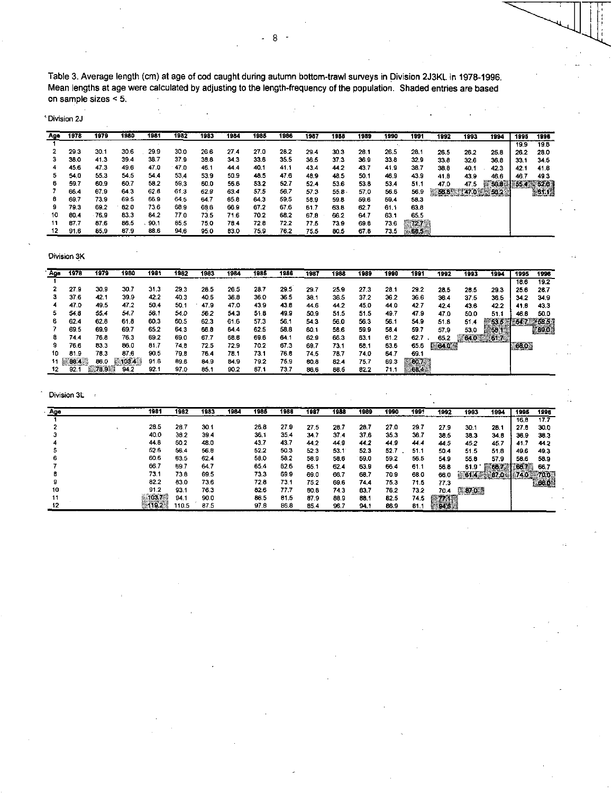Table 3. Average length (cm) at age of cod caught during autumn bottom-trawl surveys in Division 2J3KL in 1978-1996. Mean lengths at age were calculated by adjusting to the length-frequency of the population. Shaded entries are based on sample sizes < 5.

Division 2J

| Age | 1978 | 1979 | 1980 | 1981 | 1982 | 1983 | 1984        | 1985 | 1986 | 1987 | 1988     | 1989 | 1990 | 1991 | 1992   | 1993 | 1994                  | 1995       | 1996 |
|-----|------|------|------|------|------|------|-------------|------|------|------|----------|------|------|------|--------|------|-----------------------|------------|------|
|     |      |      |      |      |      |      |             |      |      |      |          |      |      |      |        |      |                       | 19.9       | 19.8 |
|     | 29.3 | 30.1 | 30.6 | 29.9 | 30.0 | 26.6 | 27.4        | 27.0 | 28.2 | 29.4 | 30.3     | 26.1 | 26.5 | 28.1 | 26.5   | 26.2 | 25.8                  | 26.2       | 23.0 |
| з   | 38.0 | 41.3 | 39.4 | 38.7 | 37.9 | 38.8 | 34.3        | 33.6 | 35.5 | 36.5 | 37.3     | 36.9 | 33.8 | 32.9 | 33.8   | 32.6 | 36.8                  | 33 1       | 34.5 |
|     | 45.6 | 47.3 | 49.6 | 47.0 | 47.0 | 46.1 | 44.4        | 40.1 | 41.1 | 43.4 | 44.2     | 43.7 | 41.9 | 38.7 | 38.8   | 40.1 | 42.3                  | 42.1       | 41.8 |
| э   | 54.0 | 55.3 | 54.5 | 54.4 | 53.4 | 53.9 | 50.9        | 48.5 | 47.6 | 48.9 | 48.5     | 50.1 | 46.9 | 43.9 | 41.8   | 43.9 | 46.6                  | 46.7       | 49.3 |
| 6   | 59.7 | 60.9 | 60.7 | 58.2 | 59.3 | 60.0 | 56.6        | 53.2 | 52.7 | 52.4 | 53.6     | 53.8 | 53.4 | 51.1 | 47.0   | 47.5 | $^{\circ\circ}$ 56.0. | <b>BSC</b> | 52.6 |
|     | 66.4 | 67.9 | 64.3 | 62.6 | 61.3 | 62.9 | 63.4        | 57.5 | 56.7 | 57.3 | $55.8 -$ | 57.0 | 56.6 | 56.9 | 1:56.8 |      | $1470$ 582)           |            | 61.1 |
| в   | 69.7 | 73.9 | 69.5 | 66.9 | 64.5 | 64.7 | 65.8        | 64.3 | 59.5 | 58.9 | 59.8     | 59.6 | 59.4 | 58.3 |        |      |                       |            |      |
| 9   | 79.3 | 69.2 | 82.0 | 73.6 | 68.9 | 63.6 | 66.9        | 67.2 | 67.6 | 61.7 | 63.8     | 62.7 | 61.1 | 63.8 |        |      |                       |            |      |
| 10  | 80.4 | 76.9 | 83.3 | 84.2 | 77.0 | 73.5 | 71.6        | 70.2 | 68.2 | 67.8 | 66.2     | 64.7 | 63.1 | 65.5 |        |      |                       |            |      |
| 11  | 87.7 | 87.6 | 86.5 | 90.1 | 85.5 | 75.0 | 78.4        | 72.8 | 72.2 | 77.5 | 73.9     | 69.8 | 73.6 | 5727 |        |      |                       |            |      |
| 12  | 91.6 | 85.9 | 87.9 | 88.6 | 94.6 | 95.0 | <b>B3.0</b> | 75.9 | 76.2 | 75.5 | 80.5     | 67.8 | 73.5 | 68.5 |        |      |                       |            |      |

Division 3K

| Age   | 1978 | 1979 | 1980   | 1981 | 1982 | 1983 | 1984 | 1985 | 1986 | 1987 | 1988 | 1989 | 1990 | 1991  | 1992 | 1993 | 1994    | 1995   | 1996 |
|-------|------|------|--------|------|------|------|------|------|------|------|------|------|------|-------|------|------|---------|--------|------|
|       |      |      |        |      |      |      |      |      |      |      |      |      |      |       |      |      |         | 18.6   | 19.2 |
|       | 27.9 | 30.9 | 30.7   | 31.3 | 29.3 | 28.5 | 26.5 | 28.7 | 29.5 | 29.1 | 25.9 | 27.3 | 28.1 | 29.2  | 28.5 | 28.5 | 29.3    | 25.6   | 28.7 |
|       | 37.6 | 42.7 | 39.9   | 42.2 | 40.3 | 40.5 | 36.8 | 36.0 | 36.5 | 30.7 | 36.5 | 37.2 | 36.2 | 36.6  | 36.4 | 37.5 | 36.5    | 34.2   | 34.9 |
|       | 47.0 | 49.5 | 47.2   | 50.4 | 50.1 | 47.9 | 47.0 | 43.9 | 43.6 | 44.6 | 44.2 | 45.0 | 44.0 | 42.7  | 42.4 | 43.6 | 42.2    | 41 8   | 43.3 |
| 5     | 54.8 | 55.4 | 54.7   | 56.1 | 54.0 | 56.2 | 54.3 | 51.8 | 49.9 | 50.9 | 51.5 | 51.5 | 49.7 | 47.9  | 47.0 | 50.0 | 51.1    | 46.8   | 50.0 |
| 6     | 62.4 | 62.8 | 61.8   | 60.3 | 60.5 | 62.3 | 61.6 | 57.3 | 56.  | 54.3 | 56.0 | 56.3 | 56.  | 54.9  | 51.8 | 51.4 | 53.5    | $+5.7$ | 68.5 |
|       | 69.5 | 69.9 | 69.7   | 65.2 | 64.3 | 66.8 | 64.4 | 62.5 | 58.8 | 60.1 | 58.6 | 59.9 | 58.4 | 59.7  | 57.9 | 53.0 |         |        | 69.0 |
| σ     | 74.4 | 76.8 | 76.3   | 69.2 | 69.0 | 67.7 | 68.6 | 69.6 | 64.  | 62.9 | 66.3 | 63.1 | 61.2 | 62.7  | 65.2 | 64.0 | $-617-$ |        |      |
| 9     | 76.6 | 83.3 | 86.0   | 81.7 | 74.8 | 72.5 | 72.9 | 70.2 | 67.3 | 69.  | 73.1 | 68.1 | 63.6 | 65.6  | 64.0 |      |         | 68.0   |      |
| 10    | 81.9 | 78.3 | 87.6   | 90.5 | 79.8 | 76.4 | 78.1 | 73.1 | 76.6 | 74.5 | 78.7 | 74.0 | 64.7 | 69.   |      |      |         |        |      |
| 11 82 | 86.4 | 86.0 | 1103.4 | 91.6 | 89 G | 84.9 | 84.9 | 79.2 | 75.9 | 60.8 | 02.4 | 75.7 | 69.3 | 60.7. |      |      |         |        |      |
|       | 92.  | 79 D | 94.2   | 92.1 | 97.0 | 85.1 | 90.2 | 87.1 | 73.7 | 86.6 | 86.5 | 82.2 | 71.  |       |      |      |         |        |      |

 $\bar{\mathcal{A}}$ 

| Age | 1981   | 1982 | 1983 | 1984 | 1985 | 1986 | 1987 | 1988 | 1989 | 1990     | 1991 | 1992 | 1993          | 1994 | 1995  | 1996 |
|-----|--------|------|------|------|------|------|------|------|------|----------|------|------|---------------|------|-------|------|
|     |        |      |      |      |      |      |      |      |      |          |      |      |               |      | 16.B  | 17.7 |
|     | 28.5   | 28.7 | 30.1 |      | 26.8 | 27.9 | 27.5 | 28.7 | 28.7 | 27.0     | 29.7 | 27.9 | 30.1          | 28.1 | 27.8  | 30.0 |
|     | 40.0   | 38.2 | 39.4 |      | 36.1 | 35.4 | 34.7 | 37.4 | 37.6 | 35.3     | 36.7 | 38.5 | 38.3          | 34.8 | 36.9  | 38.3 |
|     | 44.8   | 50.2 | 48.0 |      | 43.7 | 43.7 | 44.2 | 44.9 | 44.2 | 44.9     | 44.4 | 44.5 | 45.2          | 45.7 | -41.7 | 44.2 |
|     | 52.6   | 56.4 | 56.8 |      | 52.2 | 50.3 | 52.3 | 53.1 | 52.3 | 52.<br>7 | 51.1 | 50.4 | 51.5          | 51.8 | 49.6  | 49.3 |
| n   | 60.6   | 63.5 | 62.4 |      | 58.0 | 58.2 | 58.9 | 59.6 | 59.0 | 59.2     | 56,5 | 54.9 | 55.8          | 57.9 | 58.6  | 58.9 |
|     | 66.7   | 69.7 | 64.7 |      | 65.4 | 62.6 | 65.  | 62.4 | 63.9 | 66.4     | 61.  | 56.8 | 61.9          | 60.2 | 66.7  | 66.7 |
|     | 73.1   | 73.8 | 69.5 |      | 73.3 | 69.9 | 69.0 | 66.7 | 68.7 | 70.9     | 68.0 | 66.0 | 8614          | 67.0 | 740   | 70.0 |
|     | 82.2   | 83.0 | 73.6 |      | 72.8 | 73.7 | 75.2 | 69.6 | 74.4 | 75.3     | 71.5 | 77.3 |               |      |       | 68.0 |
| 10  | 91.2   | 93.1 | 76.3 |      | 82.6 | 77.7 | 80.8 | 74.3 | 83.7 | 76.2     | 73.2 | 70.4 | <b>1870 1</b> |      |       |      |
|     | 103.7% | 94.  | 90.0 |      | 86.5 | 81.5 | 87.9 | 88.9 | 88.1 | 82.5     | 74.5 |      |               |      |       |      |
|     |        | 10.5 | 87.5 |      | 97.8 | 86.8 | 85.4 | 96.7 | 94.1 | 86.9     | 81.  |      |               |      |       |      |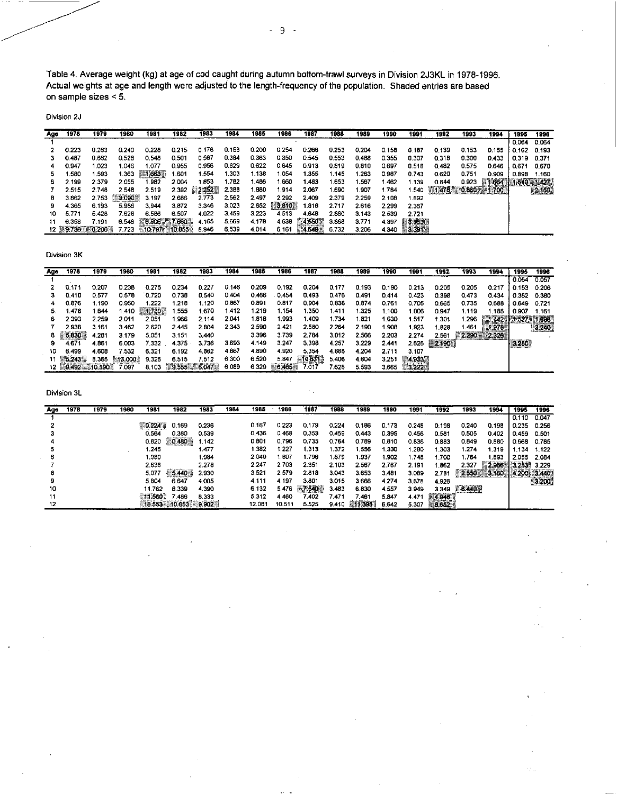Table 4. Average weight (kg) at age of cod caught during autumn bottom-trawl surveys in Division 2J3KL in 1978-1996. Actual weights at age and length were adjusted to the length-frequency of the population. Shaded entries are based on sample sizes < 5.

Division 2J

| Ago | 1978  | 1979           | 1980         | 1981  | 1982  | 1983  | 1984  | 1985  | 1986  | 1987  | 1988  | 1989  | 1990  | 1991  | 1992              | 1993  | 1994  | 1995  | 1996         |
|-----|-------|----------------|--------------|-------|-------|-------|-------|-------|-------|-------|-------|-------|-------|-------|-------------------|-------|-------|-------|--------------|
|     |       |                |              |       |       |       |       |       |       |       |       |       |       |       |                   |       |       | 0.064 | 0.064        |
|     | 0.223 | 0.263          | 0.240        | 0.228 | 0.215 | 0.176 | 0.153 | 0.200 | 0.254 | 0.266 | 0.253 | 0.204 | 0.158 | 0.187 | 0.139             | 0.153 | 0.155 | 0.162 | 0.193        |
|     | 0.487 | 0.682          | 0.528        | 0.548 | 0.501 | 0.587 | 0.384 | 0.363 | 0.350 | 0.545 | 0.553 | 0.488 | 0.355 | 0.307 | 0.318             | 0.300 | 0.433 | 0.319 | 0.371        |
|     | 0.947 | 1.023          | 1.046        | 1.077 | 0.955 | 0.956 | 0.829 | 0.622 | 0.645 | 0.913 | 0.819 | 0.810 | 0.697 | 0.518 | 0.482             | 0.575 | 0.646 | 0.671 | 0.670        |
|     | .580  | .593           | .363         | 1.663 | .601  | 1.554 | .303  | 1.138 | 1.054 | 1.355 | 1.145 | 1.263 | 0.987 | 0.743 | 0.620             | 0.751 | 0.909 | 0.898 | 1.160        |
| ь   | 2.199 | 2.379          | 2.055        | .982  | 2.004 | 1.653 | .782  | .486  | 1.660 | 1.483 | 1.653 | 1,567 | .462  | 1.139 | 0.844             | 0.923 | 1.664 |       | $\sim 1.427$ |
|     | 2.515 | 2.748          | 2.548        | 2.519 | 2.392 | 2.252 | 2.388 | 1.880 | 1.914 | 2,067 | 1.690 | 1.907 | .784  | . 540 | 1,478 0.860 1.700 |       |       |       |              |
|     | 3.862 | 2.753          | <b>3.090</b> | 3.197 | 2.686 | 2.773 | 2.562 | 2.497 | 2.292 | 2.409 | 2.379 | 2.259 | 2.108 | 1.692 |                   |       |       |       |              |
| 9   | 4.365 | 6.193          | 5,986        | 3.944 | 3.872 | 3.346 | 3.023 | 2.652 | F3810 | 1.818 | 2.717 | 2.616 | 2.299 | 2.367 |                   |       |       |       |              |
| 10  | 5.771 | 5.428          | 7.628        | 6.586 | 6.507 | 4.022 | 3.459 | 3.223 | 4.513 | 4.648 | 2.880 | 3.143 | 2.539 | 2.721 |                   |       |       |       |              |
| 11  | 6.358 | 7.191          | 6.546        | 6 906 | 7.660 | 4.165 | 5.669 | 4,178 | 4.638 | 4.550 | 3.868 | 3.771 | 4.397 | 3863  |                   |       |       |       |              |
|     |       | 12 9.736 6.206 | 1.723        |       |       | 8.946 | 6.539 | 4.014 | 6.161 | 4.649 | 6.732 | 3.206 | 4.340 | 3.391 |                   |       |       |       |              |

Division 3K

| Age | 1978           | 1979    | 1980    | 1981    | 1982  | 1983            | 1984  | 1985  | 1986                 | 1987   | 1988       | 1989  | 1990  | 1991    | 1992     | 1993  | 1994     | 1995  | 1996  |
|-----|----------------|---------|---------|---------|-------|-----------------|-------|-------|----------------------|--------|------------|-------|-------|---------|----------|-------|----------|-------|-------|
|     |                |         |         |         |       |                 |       |       |                      |        |            |       |       |         |          |       |          | 0.054 | 0.057 |
|     | 0.171          | 0.207   | 0.238   | 0.275   | 0.234 | 0.227           | 0.146 | 0.209 | 0.192                | 0.204  | 0.177      | 0.193 | 0.190 | 0.213   | 0.205    | 0.205 | 0217     | 0.153 | 0.206 |
|     | 0.410          | 0577    | 0.578   | 0.720   | 0738  | 0.540           | 0.404 | 0.466 | 0.454                | 0.493  | 0.476      | 0.491 | 0.414 | 0.423   | 0.398    | 0.473 | 0434     | 0.362 | 0.380 |
|     | 0.876          | 1.190   | 0.950   | 1.222   | .218  | 1.120           | 0.867 | 0.891 | 0.817                | 0.904  | 0.838      | 0.874 | 0.761 | 0.705   | 0.665    | 0.735 | 0.688    | 0.649 | 0.721 |
|     | 1.478          | 1.644   | 1.410   | 551 730 | .555  | 1.670           | 1.412 | .219  | 1.154                | 1.350  | <b>A11</b> | .325  | .100  | 1.006   | 0.947    | 1.119 | l 188    | 0.907 | 1.161 |
|     | 2.393          | 2.259   | 2.011   | 2.051   | .966  | 2.114           | 2.041 | .818  | .933                 | 1.409  | .734       | 1.821 | 1.630 | .517    | 1.301    | .296  | $-1.442$ |       | 1.898 |
|     | 2.938          | 3.161   | 3.462   | 2.620   | 2.445 | 2.804           | 2.343 | 2.590 | 2.421                | 2.550  | 2.264      | 2.190 | 1.908 | 1.923   | .828     | . 461 |          |       | 3.240 |
|     | $-5.830$       | 4.281   | 3.179   | 5.051   | 3.151 | 3.440           |       | 3.396 | 3.739                | 2.784  | 3.012      | 2.566 | 2.203 | 2.274   | 2.561    | 2.290 | 2.326    |       |       |
|     | 4.671          | 4.861   | 6.003   | 7.332   | 4.375 | 3.736           | 3.693 | 4.149 | 3,247                | 3.398  | 4.257      | 3.229 | 2.441 | 2.626   | $-2.190$ |       |          | 3.280 |       |
| 10  | 6.499          | 4.608   | 7.532   | 6.321   | 6.192 | 4.862           | 4.667 | 4.890 | 4.920                | 5.354  | 4.888      | 4.204 | 2.711 | 3.107   |          |       |          |       |       |
|     | 5.243          | 8.365   | -13,000 | 9.326   | 6.515 | 7.512           | 6,300 | 6,520 | 5.847                | 10.631 | 5.408      | 4,604 | 3.251 | 14933   |          |       |          |       |       |
|     | <b>E.9.492</b> | 10,190. | 7.097   | 8.103   |       | $9.555 - 6.047$ | 6.089 | 6.329 | FG.465 <sup>35</sup> | 7017   | 7.628      | 5.593 | 3.665 | - 5 222 |          |       |          |       |       |

| Age | 1978 | 1979 | 1980 | 1981                | 1982    | 1983  | 1984 | 1985   | 1986   | 1987    | 1988  | 1989   | 1990  | 1991  | 1992              | 1993  | 1994  | 1995        | 1996  |
|-----|------|------|------|---------------------|---------|-------|------|--------|--------|---------|-------|--------|-------|-------|-------------------|-------|-------|-------------|-------|
|     |      |      |      |                     |         |       |      |        |        |         |       |        |       |       |                   |       |       | 0.110       | 0.047 |
|     |      |      |      | 0.224               | 0.169   | 0.236 |      | 0.167  | 0.223  | 0.179   | 0.224 | 0.186  | 0.173 | 0.248 | 0.198             | 0.240 | 0.198 | 0.235       | 0.256 |
|     |      |      |      | 0.564               | 0.380   | 0.539 |      | 0.436  | 0.468  | 0.353   | 0.459 | 0.443  | 0.395 | 0.456 | 0.581             | 0.505 | 0.402 | 0.459       | 0.501 |
|     |      |      |      | 0.820               | 0.480   | 1.142 |      | 0.601  | 0.796  | 0.735   | 0.764 | 0.789  | 0.810 | 0.836 | 0.883             | 0849  | 0.880 | 0.668       | 0.785 |
|     |      |      |      | 1.245               |         | 1.477 |      | 382    | 1.227  | - 313   | 1.372 | 1.556  | .330  | 280   | 303               | 1 274 | 1.319 | .134        | 1.122 |
|     |      |      |      | .980                |         | 1.984 |      | 2.049  | .807   | 1.796   | 1.879 | 1.937  | .902  | .748  | .700              | l 764 | 1.893 | 2.055       | 2.084 |
|     |      |      |      | 2.638               |         | 2.278 |      | 2.247  | 2.703  | 2.351   | 2.103 | 2.567  | 2.767 | 2.191 | .862              | 2.327 | 2,986 | 3253        | 3.229 |
|     |      |      |      | 5.077               | 115.440 | 2.930 |      | 3.521  | 2.579  | 2.818   | 3.043 | 3.653  | 3.481 | 3.089 | 2.78 <sup>4</sup> | 2.650 | 3.160 | 4.200 3.440 |       |
|     |      |      |      | 5.804               | 6.647   | 4.005 |      | 4.111  | 4.197  | 3.801   | 3.015 | 3.666  | 4.274 | 3.678 | 4.926             |       |       |             | 3.200 |
| 10  |      |      |      | 11.762              | 8.339   | 4.390 |      | 6.132  | 5.476  | F27.540 | 3.463 | 6.830  | 4.557 | 3.949 | 3.349             | 6.440 |       |             |       |
|     |      |      |      | 11.560              | '.486   | 8.333 |      | 5.312  | 4.460  | 7.402   | .471  | 461    | 5.847 | 4.471 | 4.946             |       |       |             |       |
| 12  |      |      |      | 18.553 10.653 9.902 |         |       |      | 12.081 | 10.511 | 5.525   | 9.410 | 111395 | 6.642 | 5.307 | 8.652             |       |       |             |       |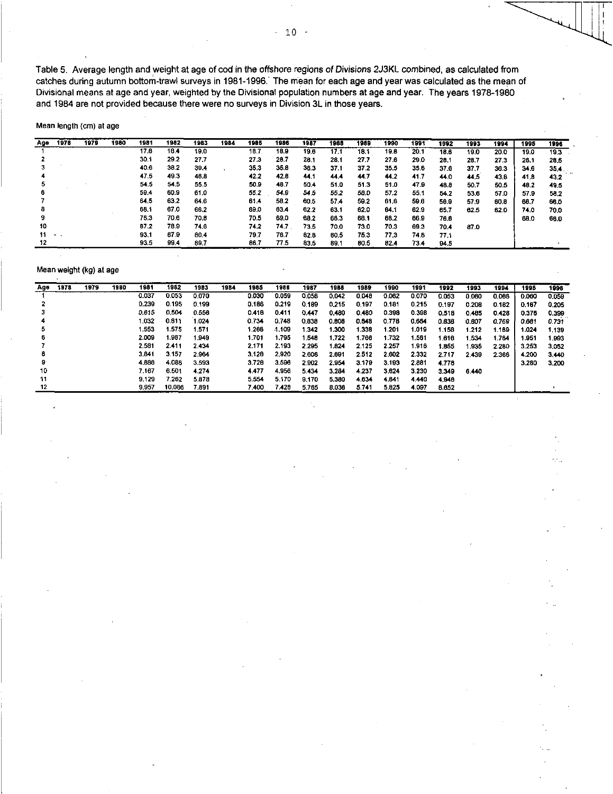Table 5. Average length and weight at age of cod in the offshore regions of *Divisions* 2J3KL combined, as calculated from catches during autumn bottom-trawl surveys in 1981-1996: The mean for each age and year was calculated as the mean of Divisional means at age and year, weighted by the Divisional population numbers at age and year. The years 1978-1980 and 1984 are not provided because there were no surveys in Division 3L in those years.

Mean length (cm) at age

| Age | 1978          | 1979 | 1980 | 1981 | 1982 | 1983 | 1984 | 1985 | 1986 | 1987 | 1988 | 1989        | 1990 | 1991 | 1992 | 1993 | 1994 | 1995 | 1996 |
|-----|---------------|------|------|------|------|------|------|------|------|------|------|-------------|------|------|------|------|------|------|------|
|     |               |      |      | 17.8 | 18.4 | 19.0 |      | 19.7 | 18.9 | 19.6 | 17.1 | 18.1        | 19.8 | 20.1 | 18.6 | 19.0 | 20.0 | 19.0 | 19.3 |
|     |               |      |      | 30.1 | 29.2 | 27.7 |      | 27.3 | 20.7 | 28.1 | 28.1 | 27.7        | 27.6 | 29.0 | 28.1 | 28.7 | 27.3 | 26.1 | 28.5 |
|     |               |      |      | 40.6 | 38.2 | 39.4 |      | 35.3 | 35.8 | 36.3 | 37.1 | 37.2        | 35.5 | 35.6 | 37.6 | 37.7 | 36.3 | 34.6 | 35.4 |
|     |               |      |      | 47.5 | 49.3 | 46.8 |      | 42.2 | 42.8 | 44.1 | 44.4 | 44.7        | 44.2 | 41.7 | 44.0 | 44.5 | 43.8 | 41.8 | 43.2 |
|     |               |      |      | 54.5 | 54.5 | 55.5 |      | 50.9 | 48.7 | 50.4 | 51.0 | 51.3        | 51.0 | 47.9 | 48.8 | 50.7 | 50.5 | 48.2 | 49.5 |
|     |               |      |      | 59.4 | 60.9 | 61.0 |      | 55.2 | 54.9 | 54.5 | 55.2 | 56.0        | 57.2 | 55.1 | 54.2 | 53.6 | 57.0 | 57.9 | 58.2 |
|     |               |      |      | 64.5 | 63.2 | 64.6 |      | 61.4 | 53.2 | 60.5 | 57.4 | 59.2        | 61,6 | 59.6 | 56.9 | 57.9 | 60.8 | 66.7 | 66.0 |
|     |               |      |      | 69.1 | 67.0 | 66.2 |      | 69.0 | 63.4 | 62.2 | 63.1 | 62.0        | 64.1 | 62.9 | 65.7 | 62.5 | 62.0 | 74.0 | 70.0 |
|     |               |      |      | 76.3 | 70.6 | 70.8 |      | 70.5 | 69.0 | 68.2 | 66.3 | 68.1        | 68.2 | 66.9 | 76.6 |      |      | 68.0 | 66.0 |
| 10  |               |      |      | 87.2 | 78.9 | 74.6 |      | 74.2 | 74.7 | 73.5 | 70.0 | 73.0        | 70.3 | 69.3 | 70.4 | 87.0 |      |      |      |
| 11. | $\mathcal{L}$ |      |      | 93.1 | 87.9 | 80.4 |      | 79.7 | 76.7 | 82.8 | 80.5 | 75.3        | 77.3 | 74.8 | 77.1 |      |      |      |      |
|     |               |      |      | 93.5 | 99.4 | 89.7 |      | 86.7 | 77.5 | 83.5 | 89.1 | <b>BO.5</b> | 82.4 | 73.4 | 94.5 |      |      |      |      |

#### Mean weight (kg) at age

| Age | 1978 | 1979 | 1980 | 1981  | 1982   | 1983  | 1984 | 1985    | 1986     | 1987  | 1988    | 1989    | 1990  | 1991  | 1992  | 1993  | 1994         | 1995  | 1996  |
|-----|------|------|------|-------|--------|-------|------|---------|----------|-------|---------|---------|-------|-------|-------|-------|--------------|-------|-------|
|     |      |      |      |       |        |       |      |         |          |       |         |         |       |       |       |       |              |       |       |
|     |      |      |      | 0.037 | 0.053  | 0.070 |      | 0.030   | 0.059    | 0.058 | 0.042   | 0.048   | 0.062 | 0.070 | 0.053 | 0.060 | 0.068        | 0.060 | 0,059 |
|     |      |      |      | 0.239 | 0.195  | 0.199 |      | 0.186   | 0.219    | 0.189 | 0.215   | 0.197   | 0.181 | 0.215 | 0.197 | 0.208 | 0.182        | 0.167 | 0.205 |
|     |      |      |      | 0.615 | 0.504  | 0.556 |      | 0.418   | 0.411    | 0.447 | 0.480   | 0.480   | 0.398 | 0.398 | 0.518 | 0.485 | 0.428        | 0.376 | 0.399 |
|     |      |      |      | 1.032 | 0.811  | 1.024 |      | 0.734   | 0.748    | 0.838 | 0.808   | 0.848   | 0.778 | 0.664 | 0.838 | 0.807 | <b>0.769</b> | 0.661 | 0.731 |
|     |      |      |      | 1.553 | 1.575  | 1.571 |      | 1.266   | $-1.109$ | .342  | 1.300   | 1.338   | 1.201 | 1.019 | -158  | 1.212 | 1.169        | 1.024 | 1.139 |
|     |      |      |      | 2.009 | 1.987  | 1.949 |      | 1.701   | 1.795    | .548  | 1.722   | 1.766   | 1.732 | 1.561 | 616   | 1.534 | 1.784        | 1.951 | 1,993 |
|     |      |      |      | 2.581 | 2.411  | 2.434 |      | 2.171   | 2.193    | 2.295 | 1.824   | 2.125   | 2.257 | 1.916 | 1.855 | .935  | 2.260        | 3.253 | 3.052 |
|     |      |      |      | 3.841 | 3.157  | 2.964 |      | 3.128   | 2.920    | 2.608 | 2.691   | 2.512   | 2.602 | 2.332 | 2.717 | 2.439 | 2.366        | 4.200 | 3.440 |
|     |      |      |      | 4.886 | 4.088  | 3.593 |      | 3.728   | 3.596    | 2.902 | 2.954   | 3.179   | 3.193 | 2.881 | 4.778 |       |              | 3.280 | 3.200 |
| 10  |      |      |      | 7 167 | 6.501  | 4.274 |      | 4.477   | 4956     | 5434  | 3.284   | 4.237   | 3.624 | 3.230 | 3.349 | 6.440 |              |       |       |
| 11  |      |      |      | 9.129 | 7.262  | 5.878 |      | 5 5 5 4 | 5.170    | 9.170 | 5 3 8 0 | 4 6 3 4 | 4841  | 4.440 | 4.946 |       |              |       |       |
| 12  |      |      |      | 9.957 | 10.086 | 7.891 |      | 7 400   | 7 428    | 5.765 | 8036    | 5741    | 5825  | 4.097 | 8.652 |       |              |       |       |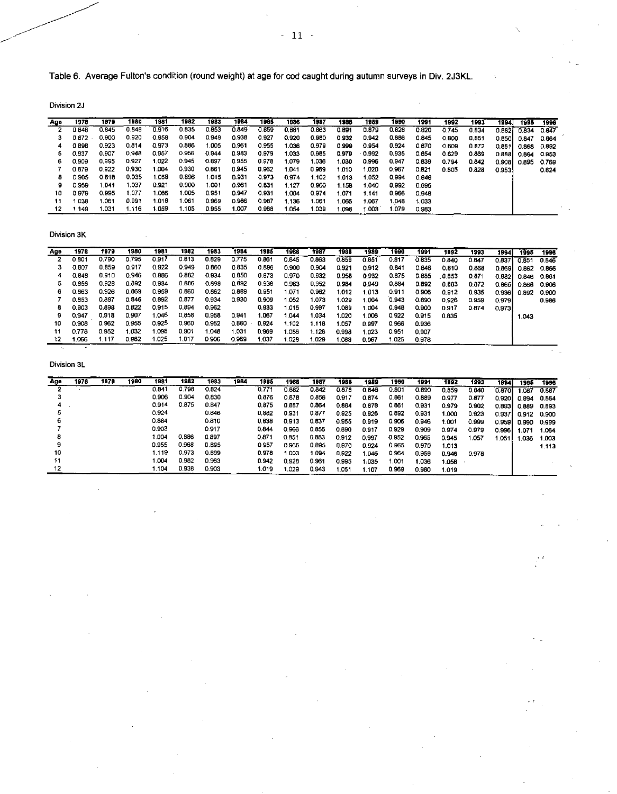Table 6. Average Fulton's condition (round weight) at age for cod caught during autumn surveys in Div. 2J3KL.

Division 2J

| Age | 1978  | 1979  | 1980  | 1981  | 1982  | 1983  | 1984  | 1985  | 1986  | 1987  | 1988  | 1989     | 1990  | 1991  | 1992  | 1993  | 1994   | 1995  | 1996  |
|-----|-------|-------|-------|-------|-------|-------|-------|-------|-------|-------|-------|----------|-------|-------|-------|-------|--------|-------|-------|
|     | 0.846 | 0.845 | 0.848 | 0.916 | 0.835 | 0.853 | 0.849 | 0.859 | 0.581 | 0.663 | 0.891 | 0.879    | 0.828 | 0.820 | 0.745 | 0.834 | C 8821 | 0.834 | 0.847 |
|     | 0.872 | 0.900 | 0.920 | 0.958 | 0.904 | 0.949 | 0.938 | 0.927 | 0.920 | 0.980 | 0.932 | 0.942    | 0.886 | 0.845 | 0.800 | 0.851 | 0.B501 | 0.847 | 0.864 |
|     | 0.898 | 0.923 | 0.814 | 0.973 | 0.886 | 1.005 | 0.961 | 0.955 | 1.036 | 0.979 | 0.999 | 0.954    | 0.924 | 0.670 | 0.809 | 0.872 | 0.8511 | 0.868 | 0.892 |
|     | 0.937 | 0.907 | 0.948 | 0.957 | 0.956 | 0.944 | 0.983 | 0.979 | 1.033 | 0.985 | 0.979 | $-0.992$ | 0.935 | 0.854 | 0.829 | 0.869 | 0.888  | 0.864 | 0.953 |
| 6   | 0.909 | 0.995 | 0.927 | 1.022 | 0.945 | 0.897 | 0.955 | 0.978 | 1.079 | 1.036 | 1.030 | 0.996    | 0.947 | 0.839 | 0.794 | 0.842 | 0.9081 | 0.895 | 0.769 |
|     | 0.879 | 0.922 | 0.930 | .004  | 0.930 | 0.861 | 0.945 | 0.962 | 1.041 | 0.969 | 1.010 | 1.020    | 0.967 | 0.821 | 0.805 | 0.828 | 0.953  |       | 0.824 |
|     | 0.905 | 0.618 | 0.935 | 1.058 | 0.896 | 1.015 | 0.931 | 0.973 | 0.974 | l.102 | 1.013 | 1.052    | 0.994 | 0.846 |       |       |        |       |       |
|     | 0.959 | 1.041 | 1.037 | 0.921 | 0.900 | 1.001 | 0.961 | 0.831 | 1.127 | 0.960 | 1.158 | 1.040    | 0.992 | 0.895 |       |       |        |       |       |
| 10  | 0.979 | 0.995 | 1.077 | 1.065 | 1.005 | 0.951 | 0.947 | 0.931 | 1.004 | 0.974 | .071  | 1.141    | 0.966 | 0.948 |       |       |        |       |       |
| 11  | 1.038 | 1.061 | 0.991 | 1.018 | .061  | 0.969 | 0.986 | 0.987 | 1.136 | l.061 | .065  | 1.067    | 1.048 | 1.033 |       |       |        |       |       |
| 12  | 1.149 | 1.031 | 1.116 | .059  | 1.105 | 0.955 | 1.007 | 0.988 | 1.054 | 1.039 | .098  | 1.003    | 1.079 | 0.983 |       |       |        |       |       |

Division 3K

| Ago | 1978  | 1979  | 1980  | 1981  | 1982  | 1983  | 1984  | 1985  | 1986  | 1987  | 1988  | 1989  | 1990  | 1991  | 1992  | 1993  | 1994   | 1995  | 1996         |
|-----|-------|-------|-------|-------|-------|-------|-------|-------|-------|-------|-------|-------|-------|-------|-------|-------|--------|-------|--------------|
|     | 0.801 | 0.790 | 0.795 | 0.917 | 0.813 | 0.829 | 0.775 | 0.861 | 0.845 | 0.863 | 0.859 | 0.851 | 0.817 | 0.835 | 0.840 | 0.847 | 0.837  | 0.851 | 0.846        |
| з   | 0.807 | 0.859 | 0.917 | 0.922 | 0.949 | 0.860 | 0.835 | 0.896 | 0.900 | 0.904 | 0.921 | 0.912 | 0.841 | 0.846 | 0.810 | 0.868 | 0869   | 0.862 | 0.866        |
| 4   | 0.848 | 0.910 | 0.946 | 0.886 | 0.882 | 0.934 | 0.850 | 0.873 | 0.970 | 0.932 | 0.958 | 0.932 | 0.875 | 0.885 | 0.853 | 0.871 | 0.882  | 0.846 | <b>0.861</b> |
| 5   | 0.856 | 0.928 | 0892  | 0.934 | 0.886 | 0.898 | 0.892 | 0.936 | 0.983 | 0.952 | 0.984 | 0.949 | 0.884 | 0.892 | 0.883 | 0.872 | 0.865  | 0.868 | 0 906        |
| 6   | 0.863 | 0.926 | 0.869 | 0.959 | 0.860 | 0.862 | 0.889 | 0.951 | 1.071 | 0.962 | 1.012 | 1.013 | 0.911 | 0.906 | 0.912 | 0.935 | 0.9361 | 0.892 | 0 900        |
|     | 0.853 | 0.887 | 0.846 | 0.892 | 0.877 | 0.934 | 0.930 | 0.909 | 1.052 | 1.073 | I.C29 | 1.004 | 0.943 | 0.890 | 0.926 | 0.959 | 0.979  |       | 0.986        |
| 8   | 0.903 | 0.898 | 0.822 | 0.915 | 0.894 | 0.962 |       | 0.933 | 1.015 | 0.997 | 1.089 | 1.004 | 0.948 | 0.900 | 0.917 | 0.874 | 0.973  |       |              |
| 9   | 0.947 | 0.918 | 0.907 | .046  | 0.858 | 0.958 | 0.941 | 1.067 | 1.044 | 1.034 | .020  | 1.006 | 0.922 | 0.915 | 0.835 |       |        | 1.043 |              |
| 10  | 0.908 | 0.962 | 0.955 | 0.925 | 0.960 | 0.952 | 0.860 | 0.924 | 1.102 | 1.118 | 1.057 | 0.997 | 0.966 | 0.936 |       |       |        |       |              |
|     | 0.778 | 0.952 | 1.032 | 1.098 | 0.901 | 1.048 | 1.031 | 0.969 | 1.086 | 1.126 | 0.998 | 1.023 | 0.951 | 0.907 |       |       |        |       |              |
| 12  | .066  | 1.117 | 0.982 | 1.025 | 1.017 | 0.906 | 0.969 | 1.037 | 1.028 | 1.029 | .088  | 0.967 | 1.025 | 0.978 |       |       |        |       |              |
|     |       |       |       |       |       |       |       |       |       |       |       |       |       |       |       |       |        |       |              |

| Age | 1978 | 1979 | 1980 | 1981  | 1982  | 1983  | 1984 | 1985  | 1986  | 1987  | 1988  | 1989  | 1990  | 1991  | 1992  | 1993  | 1994   | 1995  | 1996  |
|-----|------|------|------|-------|-------|-------|------|-------|-------|-------|-------|-------|-------|-------|-------|-------|--------|-------|-------|
|     |      |      |      | 0.841 | 0.798 | 0.824 |      | 0.771 | 0.882 | 0.842 | 0.878 | 0.846 | 0.801 | 0.890 | 0.859 | 0.B40 | 0.8701 | .ca7  | 0.887 |
|     |      |      |      | 0.906 | 0.904 | 0.830 |      | 0.376 | 0.878 | 0.856 | 0.917 | 0.874 | 0.861 | 0.889 | 0.977 | 0.877 | 0.920  | 0.894 | 0.864 |
|     |      |      |      | 0.914 | 0.875 | 0.847 |      | 0.975 | 0.887 | 0.864 | 0.884 | 0.878 | 0.861 | 0.931 | 0.979 | 0.902 | 0.893  | 0.889 | 0.893 |
|     |      |      |      | 0.924 |       | 0.846 |      | 0.882 | 0.931 | 0.877 | 0.925 | 0.926 | 0.892 | 0.931 | 1.000 | 0.923 | 0.9371 | 0.912 | 0.900 |
|     |      |      |      | 0.884 |       | 0.810 |      | 0.838 | 0.913 | 0.637 | 0.955 | 0.919 | 0.906 | 0.946 | 1.001 | 0.999 | 0.9591 | 0.990 | 0.999 |
|     |      |      |      | 0.903 |       | 0.917 |      | 0.844 | 0.966 | 0.855 | 0.890 | 0.917 | 0.929 | 0.909 | 0.974 | 0.979 | 0996   | 1.071 | 1.064 |
|     |      |      |      | 1.004 | 0.886 | 0.897 |      | 0.871 | 0.851 | 0.883 | 0.912 | 0.997 | 0.952 | 0.965 | 0.945 | 1.057 | 1.051  | 1.036 | 1.003 |
|     |      |      |      | 0.955 | 0.968 | 0.895 |      | 0.957 | 0.965 | 0.895 | 0.970 | 0.924 | 0.965 | 0.970 | 1.013 |       |        |       | 1.113 |
| 10  |      |      |      | 1.119 | 0.973 | 0.899 |      | 0.978 | 1.003 | .094  | 0.922 | 1.046 | 0.964 | 0.958 | 0.946 | 0.978 |        |       |       |
| 11  |      |      |      | I.OO4 | 0.982 | 0.963 |      | 0.942 | 0.928 | 0.961 | 0.995 | 1:035 | 1.001 | 1.036 | 1.058 |       |        |       |       |
| 12  |      |      |      | .104  | 0.938 | 0.903 |      | 1.019 | 1.029 | 0.943 | 1.051 | 1.107 | 0.969 | 0.980 | 1.019 |       |        |       |       |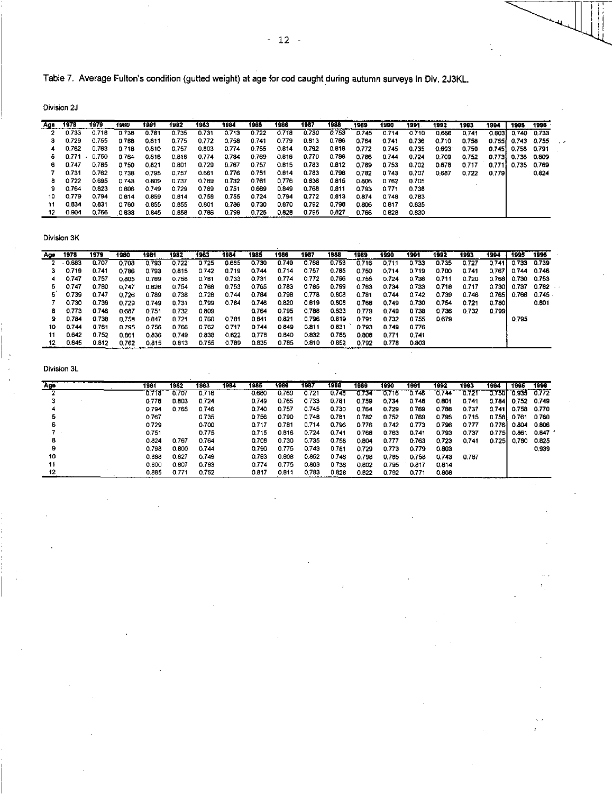Table 7. Average Fulton's condition (gutted weight) at age for cod caught during autumn surveys in Div. 2J3KL.

Division 2J

| Age | 1978  | 1979  | 1980  | 1931  | 1982  | 1983  | 1984  | 1965  | 1986  | 1987  | 1988  | 1989  | 1990  | 1991 . | 1992  | 1993  | 1994   | 1995        | 1996   |
|-----|-------|-------|-------|-------|-------|-------|-------|-------|-------|-------|-------|-------|-------|--------|-------|-------|--------|-------------|--------|
|     | 0.733 | 0.718 | 0.738 | 0.781 | 0.735 | 0.731 | 0.713 | 0.722 | 0.718 | 0.730 | 0.753 | 0.745 | 0.714 | 0.710  | 0.666 | 0.741 | 0.803  | 0.740       | 0.733  |
| з   | 0.729 | 0.755 | 0.766 | 0.811 | 0.775 | 0.772 | 0.758 | 0.741 | 0.779 | 0.813 | 0.786 | 0.764 | 0.741 | 0.736  | 0.710 | 0.758 | 0.7551 | 0.743       | -0.755 |
| 4   | 0.762 | 0.763 | 0.718 | 0.810 | 0.757 | 0.803 | 0.774 | 0.755 | 0.814 | 0.792 | 0.816 | 0.772 | 0.745 | 0.735  | 0.693 | 0.759 | 0.745  | 0.758 0.791 |        |
| ь   | 0.771 | 0.750 | 0.764 | 0.816 | 0.816 | 0.774 | 0.784 | 0.769 | 0.816 | 0.770 | 0.786 | 0.786 | 0.744 | 0.724  | 0.709 | 0.752 | 0.7731 | 0.736 0.809 |        |
| 6   | 0.747 | 0.785 | 0.750 | 0.321 | 0.801 | 0.729 | 0.767 | 0.757 | 0.615 | 0.783 | 0.812 | 0.789 | 0.753 | 0.702  | 0.678 | 0.717 | 0.7711 | 0.735 0.769 |        |
|     | 0.731 | 0.762 | 0.738 | 0.795 | 0.757 | 0.661 | 0.776 | 0.751 | 0.614 | 0.783 | 0.798 | 0.782 | 0.743 | 0.707  | 0.687 | 0.722 | 0.7791 |             | 0.824  |
| 8   | 0.722 | 0.695 | 0.743 | 0.809 | 0.737 | 0.789 | 0.732 | 0.761 | 0.776 | 0.836 | 0.815 | 0.806 | 0.762 | 0.705  |       |       |        |             |        |
| я   | 0.764 | 0.823 | 0.806 | 0.749 | 0.729 | 0.789 | 0.751 | 0.669 | 0.849 | 0.768 | 0.811 | 0.793 | 0.771 | 0.738  |       |       |        |             |        |
| 10  | 0.779 | 0.794 | 0.814 | 0.859 | 0.614 | 0.758 | 0.755 | 0.724 | 0.794 | 0.772 | 0.813 | 0.874 | 0.748 | 0.783  |       |       |        |             |        |
| 11  | 0.834 | 0.831 | 0.760 | 0.855 | 0.855 | 0.801 | 0.786 | 0.730 | 0.870 | 0.792 | 0.798 | 0.806 | 0.817 | 0.835  |       |       |        |             |        |
| 12  | 0.904 | 0.766 | 0.838 | 0.845 | 0.858 | 0.786 | 0.799 | 0.725 | 0.828 | 0.795 | 0.827 | 0.766 | 0.828 | 0.830  |       |       |        |             |        |

Division 3K

| Age | 1978  | 1979  | 1980  | 1981  | 1982  | 1983  | 1984  | 1985  | 1986  | 1987  | 1988  | 1989  | 1990  | 1991  | 1992  | 1993  | 1994    | 1995        | 1996  |
|-----|-------|-------|-------|-------|-------|-------|-------|-------|-------|-------|-------|-------|-------|-------|-------|-------|---------|-------------|-------|
|     |       |       |       |       |       |       |       |       |       |       |       |       |       |       |       |       |         |             |       |
|     | 0.683 | 0.707 | 0.708 | 0.793 | 0.722 | 0.725 | 0.685 | 0.730 | 0.749 | 0.768 | 0.753 | 0.716 | 0.711 | 0.733 | 0.735 | 0.727 | 0.741   | 0.733       | 0.739 |
|     | 0.719 | 0.741 | 0.786 | 0.793 | 0.815 | 0.742 | 0.719 | 0.744 | 0.714 | 0.757 | 0.785 | 0.750 | 0.714 | 0.719 | 0.700 | 0.741 | 0.767   | 0.744 0.746 |       |
|     | 0.747 | 0.757 | 0.805 | 0.769 | 0.758 | 0.781 | 0.733 | 0.731 | 0.774 | 0.772 | 0.796 | 0.755 | 0.724 | 0.736 | 0.711 | 0.720 | 0.7681  | 0.730 0.753 |       |
| 5   | 0.747 | 0.780 | 0.747 | 0.826 | 0.754 | 0.768 | 0.753 | 0.765 | 0.783 | 0.785 | 0.799 | 0.763 | 0.734 | 0.733 | 0.718 | 0.717 | 0.730 L | 0.737       | 0.782 |
| 6   | 0.739 | 0.747 | 0.726 | 0.789 | 0.738 | 0.728 | 0.744 | 0.784 | 0.798 | 0.778 | 0.808 | 0.781 | 0.744 | 0.742 | 0.739 | 0.746 | 0.7651  | 0.766       | 0.745 |
|     | 0.730 | 0.739 | 0.729 | 0.749 | 0.731 | 0.799 | 0.784 | 0.746 | 0.820 | 0.819 | 0.808 | 0.768 | 0.749 | 0.730 | 0.754 | 0.721 | 0.780   |             | 0.801 |
| 8.  | 0.773 | 0.746 | 0.687 | 0.751 | 0.732 | 0.809 |       | 0.764 | 0.795 | 0.788 | 0.833 | 0.779 | 0.749 | 0.738 | 0.736 | 0.732 | 0.799   |             |       |
| я   | 0.784 | 0.738 | 0.758 | 0.847 | 0.721 | 0.760 | 0.781 | 0.841 | 0.821 | 0.796 | 0.819 | 0.791 | 0.732 | 0.755 | 0.679 |       |         | 0.795       |       |
| 10  | 0.744 | 0.761 | 0.795 | 0.756 | 0.766 | 0.762 | 0.717 | 0.744 | 0.649 | 0.811 | 0.831 | 0.793 | 0.749 | 0.776 |       |       |         |             |       |
| 11  | 0.642 | 0.752 | 0.861 | 0.836 | 0.749 | 0.838 | 0.622 | 0.778 | 0.840 | 0.832 | 0.788 | 0.808 | 0.771 | 0.741 |       |       |         |             |       |
| 12  | 0.345 | 0.812 | 0.762 | 0.815 | 0.813 | 0.755 | 0.789 | 0.835 | 0.785 | 0.810 | 0.652 | 0.792 | 0.778 | 0.803 |       |       |         |             |       |

| Age | 1981  | 1982  | 1983  | 1984 | 1985  | 1986  | 1987  | 1988  | 1989  | 1990  | 1991  | 1992  | 1993  | 1994   | 1995  | 1996  |
|-----|-------|-------|-------|------|-------|-------|-------|-------|-------|-------|-------|-------|-------|--------|-------|-------|
|     | 0.718 | 0.707 | 0.718 |      | 0.680 | 0.769 | 0.721 | 0.748 | 0.734 | 0.716 | 0.746 | 0.744 | 0.721 | 0.7501 | 0 935 | 0.772 |
|     | 0.778 | 0.803 | 0.724 |      | 0.749 | 0.765 | 0.733 | 0.781 | 0.759 | 0.734 | 0.748 | 0.801 | 0.741 | 0.784  | 0.752 | 0.749 |
|     | 0.794 | 0.765 | 0.746 |      | 0.740 | 0.757 | 0.745 | 0.730 | 0.764 | 0.729 | 0.769 | 0.788 | 0.737 | 0.741  | 0.758 | 0.770 |
|     | 0.767 |       | 0.735 |      | 0.756 | 0.790 | 0.748 | 0.781 | 0.782 | 0.752 | 0.769 | 0.795 | 0.715 | 0.758  | 0.761 | 0.760 |
|     | 0.729 |       | 0.700 |      | 0.717 | 0.781 | 0.714 | 0.796 | 0.776 | 0.742 | 0.773 | 0.796 | 0.777 | 0.7761 | 0.804 | 0.806 |
|     | 0.751 |       | 0.775 |      | 0.715 | 0.616 | 0.724 | 0.741 | 0.768 | 0.763 | 0.741 | 0.793 | 0.737 | 0.775  | 0.861 | 0.847 |
|     | 0.824 | 0.767 | 0.764 |      | 0.708 | 0.730 | 0.735 | 0.758 | 0.804 | 0.777 | 0.763 | 0.723 | 0.741 | 0.7251 | 0.780 | 0.825 |
|     | 0.798 | 0.800 | 0.744 |      | 0.790 | 0.775 | 0.743 | 0.781 | 0.729 | 0.773 | 0.779 | 0.803 |       |        |       | 0.939 |
| 10  | 0.688 | 0.827 | 0.749 |      | 0.783 | 0.808 | 0.852 | 0.746 | 0.798 | 0.785 | 0.758 | 0.743 | 0.787 |        |       |       |
|     | 0.800 | 0.807 | 0.793 |      | 0.774 | 0.775 | 0.803 | 0.736 | 0.802 | 0.795 | 0.817 | 0.814 |       |        |       |       |
| 12  | 0.885 | 0.771 | 0.752 |      | 0.817 | 0.811 | 0.783 | 0.828 | 0.622 | 0.792 | 0.771 | 0.808 |       |        |       |       |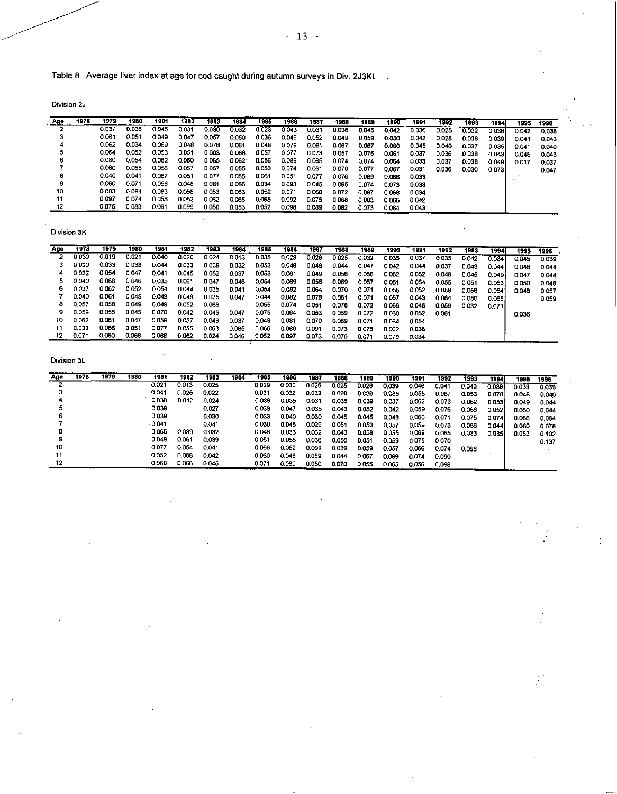Table 8. Average liver index at age for cod caught during autumn surveys in Div. 2J3KL.

Division 2J

| Age | 1978 | 1979  | 1980  | 1981  | 1982  | 1983  | 1984  | 1985  | 1986  | 1987  | 1968  |       |       |       |       |       |         |       |       |
|-----|------|-------|-------|-------|-------|-------|-------|-------|-------|-------|-------|-------|-------|-------|-------|-------|---------|-------|-------|
|     |      |       |       |       |       |       |       |       |       |       |       | 1989  | 1990  | 1991  | 1992  | 1993  | 1994    | 1995  | 1996  |
|     |      | 0.037 | 0.035 | 0.046 | 0.031 | 0.030 | 0.032 | 0.023 | 0.043 | 0.031 | 0.036 | 0.045 | 0.042 | 0.036 | 0.025 | 0.032 | 0.038   | 0.042 | 0.038 |
|     |      | 0.061 | 0.051 | 0.049 | 0.047 | 0.057 | 0.050 | 0.036 | 0.049 | 0.052 | 0.049 | 0.059 | C 050 | 0.042 | 0.028 | 0.038 | 0.039   | 0.041 | 0.043 |
|     |      | 0.062 | 0.034 | 0.069 | 0.048 | 0.078 | 0.061 | 0.048 | 0.079 | 0.061 | 0.067 | 0.067 | 0.060 | 0.045 | 0.040 | 0.037 | 0.035   | 0.041 | 0.040 |
|     |      | 0.064 | 0.052 | 0.053 | 0.051 | 0.063 | 0.066 | 0.057 | 0.077 | 0.073 | 0.057 | 0.076 | 0.061 | 0.037 | 0.036 | 0.038 | 0.0431  | 0.045 | 0.043 |
| 6   |      | 0.080 | 0.054 | 0.062 | 0.060 | 0.065 | 0.062 | 0.056 | 0.089 | 0.065 | 0.074 | 0.074 | 0.064 | 0.033 | 0.037 | 0.038 | 0.049 h | 0.017 | 0.037 |
|     |      | 0.060 | 0.055 | 0.056 | 0.057 | 0.057 | 0.055 | 0.053 | 0.074 | 0.061 | 0.070 | 0.077 | 0.067 | 0.031 | 0.036 | 0.030 | 0.0731  |       | 0.047 |
| в   |      | 0.040 | 0.041 | 0.067 | 0.051 | 0.077 | 0.055 | 0.061 | 0.051 | 0.077 | 0.076 | 0.089 | 0.066 | 0033  |       |       |         |       |       |
| 9   |      | 0.060 | 0.071 | 0.058 | 0.048 | 0.081 | 0.066 | 0.034 | 0.093 | 0.045 | 0.065 | 0.074 | 0.073 | 0.038 |       |       |         |       |       |
| 10  |      | 0.083 | 0.084 | 0.083 | 0.058 | 0.053 | 0.063 | 0.052 | 0.071 | 0.060 | 0.072 | 0.097 | 0.058 | 0.034 |       |       |         |       |       |
| 11  |      | 0.097 | 0.074 | 0.058 | 0.052 | 0.062 | 0.065 | 0.065 | 0.092 | 0.075 | 0.068 | 0.083 | 0.065 | 0.042 |       |       |         |       |       |
|     |      | 0.076 | 0.083 | 0.061 | 0.099 | 0.050 | 0.053 | 0.052 | 0.098 | 0.089 | 0.082 | 0.073 | 0.084 | 0.043 |       |       |         |       |       |

Division 3K

| Age | 1978  | 1979  | 1980  | 1981  | 1982  | 1983         | 1984         | 1985  | 1986  | 1987  | 1988  | 1989  | 1990  | 1991  | 1992  | 1993  | 1994    | 1995  | 1996  |
|-----|-------|-------|-------|-------|-------|--------------|--------------|-------|-------|-------|-------|-------|-------|-------|-------|-------|---------|-------|-------|
|     | 0.030 | 0.019 | 0.021 | 0.040 | 0.020 | 0.024        | 0.013        | 0.035 | 0.029 | 0.029 | 0.025 | 0.032 | 0.035 | 0.037 | 0.035 | 0.042 | 0.034   |       |       |
|     |       |       |       |       |       |              |              |       |       |       |       |       |       |       |       |       |         | 0.045 | 0.039 |
|     | 0.020 | 0.033 | 0.038 | 0.044 | 0.033 | 0.039        | 0.032        | 0.053 | 0.049 | 0.046 | 0.044 | 0.047 | 0.042 | 0.044 | 0.037 | 0.043 | 0.0441  | 0.046 | 0.044 |
|     | 0.032 | 0.054 | 0.047 | 0.041 | 0.045 | 0.052        | 0.037        | 0.053 | 0.061 | 0.049 | 0.056 | 0.056 | 0.052 | 0.052 | 0.048 | 0.045 | 0.049 i | 0.047 | 0.044 |
|     | 0.040 | 0.066 | 0.046 | 0.035 | 0.061 | 0.047        | 0.046        | 0.054 | 0.069 | 0.056 | 0.069 | 0.057 | 0.051 | 0.054 | 0.055 | 0.051 | 0.053   | 0.050 | 0.048 |
| 6   | 0.037 | 0.062 | 0.052 | 0.054 | 0.044 | 0.035        | <b>D.D41</b> | 0.054 | 0.082 | 0.064 | 0.070 | 0.071 | 0.055 | 0.052 | 0.059 | 0.058 | 0.0541  | 0.048 | 0.057 |
|     | 0.040 | 0.061 | 0.045 | 0.043 | 0.049 | <b>0.035</b> | 0.047        | 0.044 | 0.082 | 0.078 | 0.061 | 0.071 | 0.057 | 0.043 | 0.064 | 0.050 | 0.0651  |       | 0.059 |
| 8   | 0.057 | 0.058 | 0.049 | 0.049 | 0.052 | 0.066        |              | 0.055 | 0.074 | 0.051 | 0.078 | 0.072 | 0.066 | 0.046 | 0.059 | 0.032 | 0.071   |       |       |
|     | 0.059 | 0.055 | 0.045 | 0.070 | 0.042 | 0.046        | 0.047        | 0.075 | 0.004 | 0.053 | 0.059 | 0.072 | 0.060 | 0.052 | 0.061 |       |         | 0.036 |       |
| 10  | 0.062 | 0.061 | 0.047 | 0.059 | 0.057 | 0.049        | 0.037        | 0.049 | 0.081 | 0.070 | 0.069 | 0.071 | 0.064 | 0.054 |       |       |         |       |       |
| 11  | 0.033 | 0.066 | 0.051 | 0.077 | 0.055 | 0.063        | 0.065        | 0.066 | 0.080 | 0.091 | 0.073 | 0.075 | 0.062 | 0.038 |       |       |         |       |       |
|     | 0.071 | 0.080 | 0.066 | 0.066 | 0.062 | 0.024        | 0.046        | 0.052 | 0.097 | 0.073 | 0.070 | 0.071 | 0.079 | 0.034 |       |       |         |       |       |

**.** 

 $\bar{z}$ 

| Ago | 1978 | 1979 | 1980 | 1981  | 1982  | 1983  | 1984 | 1985  | 1986  | 1987  | 1988  | 1989  | 1990  | 1991  | 1992  | 1993  | 1994  | 1995  | 1998  |
|-----|------|------|------|-------|-------|-------|------|-------|-------|-------|-------|-------|-------|-------|-------|-------|-------|-------|-------|
|     |      |      |      | 0.021 | 0.013 | 0.025 |      | 0.029 | 0.030 | 0.026 | 0.025 | 0.026 | 0.039 | 0.046 | 0.041 | 0.043 | 0.039 | 0.039 | 0.039 |
|     |      |      |      | 0.041 | 0.025 | 0.022 |      | 0.031 | 0.032 | 0.032 | C.028 | 0.036 | 0.038 | 0.056 | 0.067 | 0.053 | 0.078 | 0.048 | 0.040 |
|     |      |      |      | 0.038 | 0.042 | 0.024 |      | 0.039 | 0.035 | 0.031 | 0.035 | 0.039 | 0.037 | 0.062 | 0.073 | 0.062 | 0.053 | 0.049 | 0.044 |
|     |      |      |      | 0.039 |       | 0.027 |      | 0.039 | 0.047 | 0.035 | 0.043 | 0.052 | 0.042 | 0.059 | 0.076 | 0.066 | 0.052 | 0.050 | 0.044 |
|     |      |      |      | 0.039 |       | 0.030 |      | 0.033 | 0.040 | 0.030 | 0.045 | 0045  | 0.048 | 0.060 | 0.071 | 0.075 | 0.074 | 0.066 | 0.064 |
|     |      |      |      | 0.041 |       | 0.041 |      | 0.030 | 0.045 | 0.029 | 0.051 | 0053  | 0.057 | 0.059 | 0.073 | 0.066 | 0.044 | 0.080 | 0.078 |
|     |      |      |      | 0.065 | 0.039 | 0.032 |      | 0.046 | 0.033 | 0.032 | 0.043 | 0.058 | 0.055 | 0.069 | 0.065 | 0.033 | 0.035 | 0.053 | 0.102 |
|     |      |      |      | 0.049 | 0.061 | 0.039 |      | 0.051 | 0.056 | 0.036 | 0.050 | 0.051 | 0.059 | 0.075 | 0.070 |       |       |       | 0.137 |
| 10  |      |      |      | 0.077 | 0.054 | 0.041 |      | 0.066 | 0.052 | 0.091 | 0.039 | 0.059 | 0.057 | 0.066 | 0.074 | 0.098 |       |       |       |
|     |      |      |      | 0.052 | 0.068 | 0.042 |      | 0.060 | 0.048 | 0.059 | 0.044 | 0.067 | 0.069 | 0.074 | 0.090 |       |       |       |       |
| 12  |      |      |      | 0.068 | 0.066 | 0.045 |      | 0.071 | 0.060 | 0.050 | 0.070 | 0.055 | 0.065 | 0.056 | 0.068 |       |       |       |       |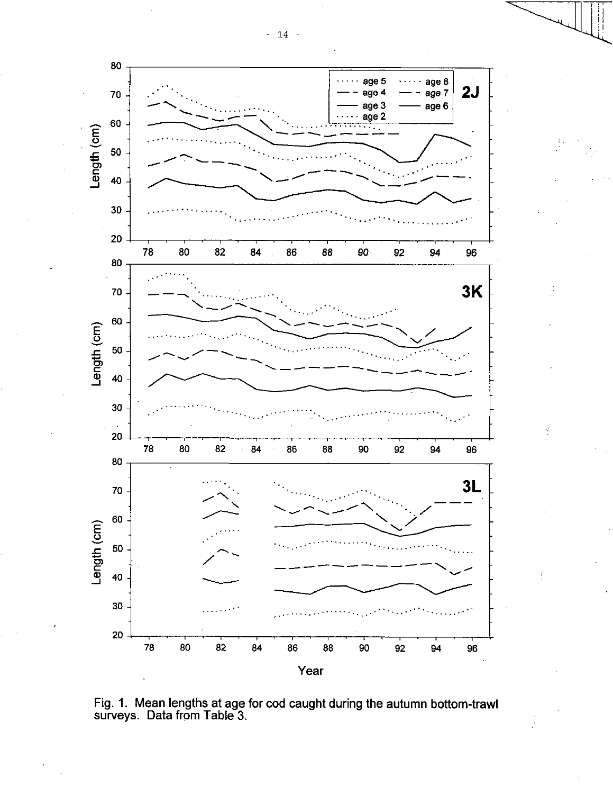



ţ,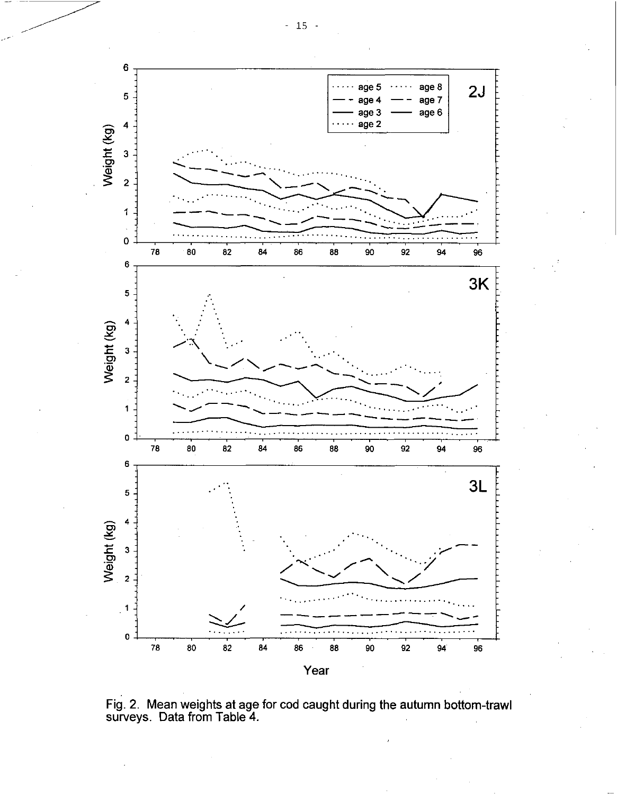

Fig. 2. Mean weights at age for cod caught during the autumn bottom-trawl surveys. Data from Table 4.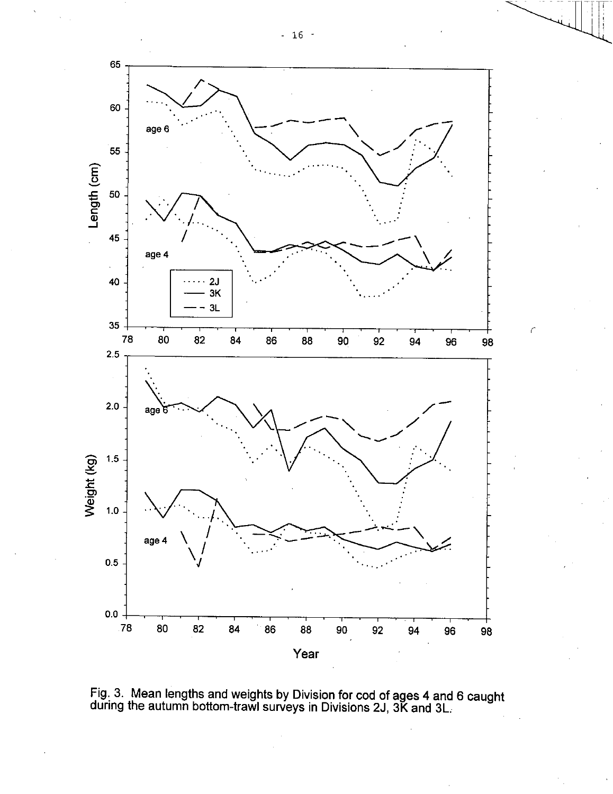

Length (cm)

98



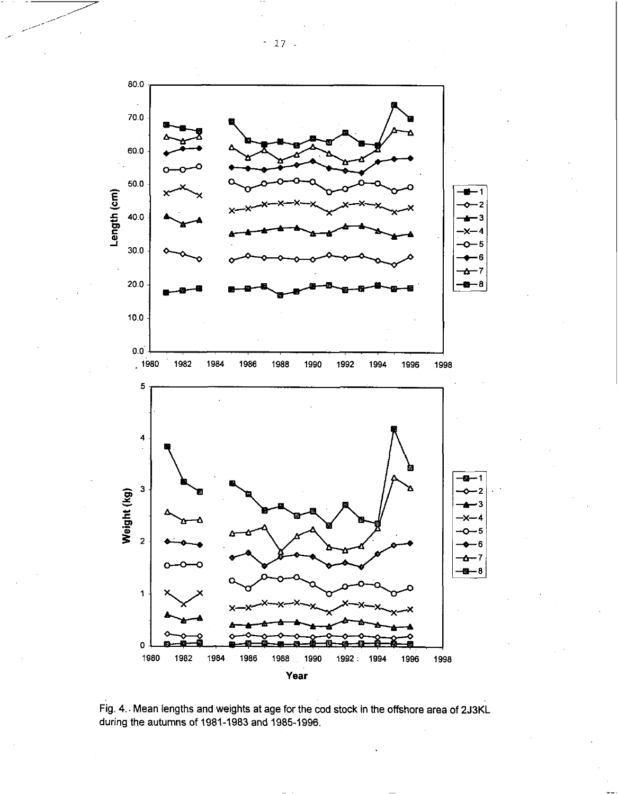

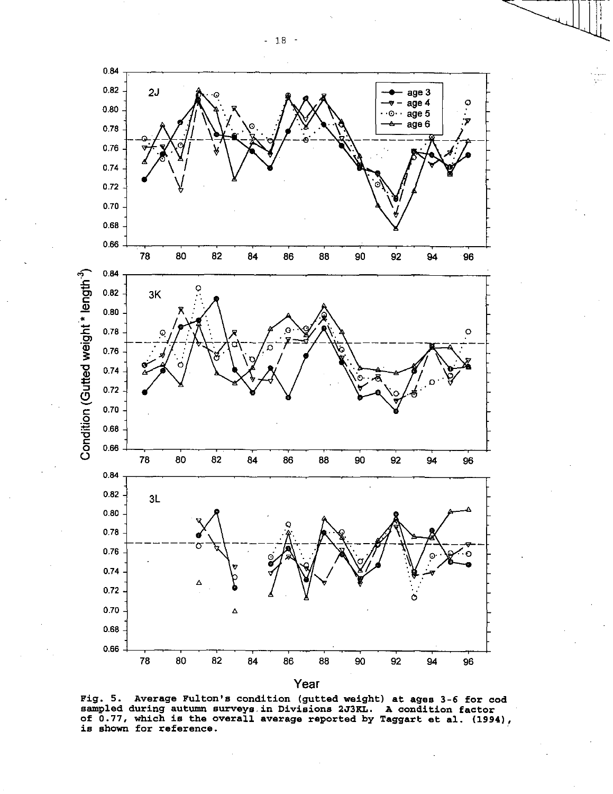- 18 -



**Fig. 5. Average Fulton's condition (gutted weight) at ages 3-6 for cod sampled during autumn surveys in Divisions 2J3KL. A condition factor of 0.77, which is the overall average reported by Taggart et al. (1994), is shown for reference.**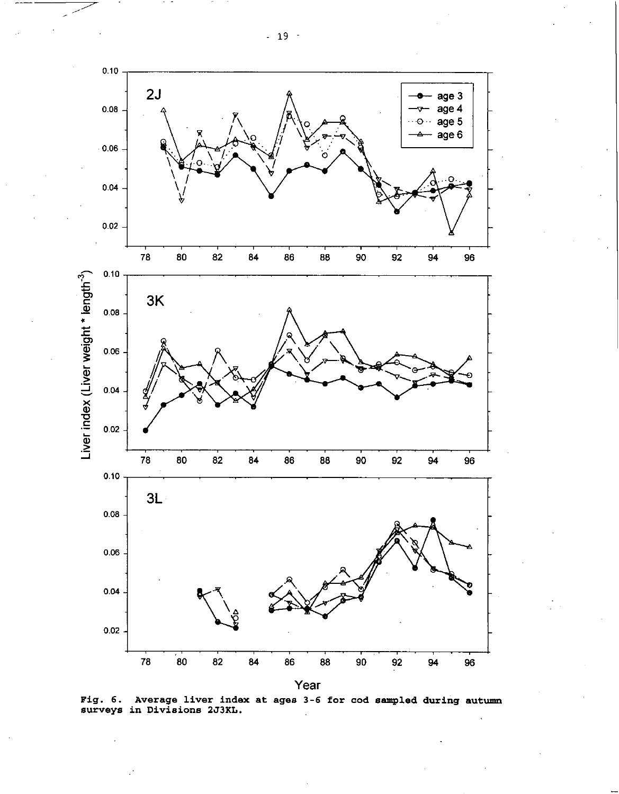- 19 -





Fig. 6. Average liver index at ages 3-6 for cod sampled during autumn surveys in Divisions 2J3KL.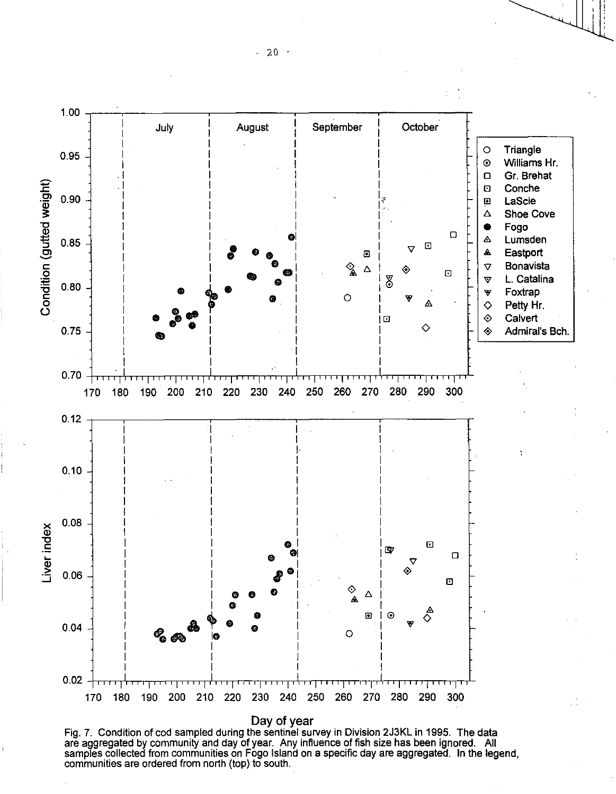1.00 July | August | September | October o Triangle 0.95 O Williams Hr. ❑ Gr. Brehat Condition (gutted weight) **Conche**  $0.90$ s LaScie A Shoe Cove Condition(gutted w • Fogo  $\Box$ ol I o Lumsden  $0.85$ **• •**  a  $\overline{\nabla}$ • Eastport  $\blacksquare$ **່ອ** 2 A |<br>8 ⊗ ✓ Bonavista **a •**   $\overline{C}$ ✓ L. Catalina  $\begin{array}{|c|c|c|c|c|c|}\hline 0.80 & & & & & & & \\\hline \end{array}$ • Foxtrap Α  $\Diamond$  Petty Hr.  $\diamond$  Calvert a ◇ 0.75  $\diamond$  Admiral's Bch. 0.70 <del>| 1111||1111|-1111|-1111||111||1111||1111||111||111||1111|</del>11111 170 180 190 200 210 220 230 240 250 260 270 280 290 300 0.12  $0.10$ • 0.08 **-**   $\frac{d}{dx}$  $\overline{E}$  $\mathbf{w}$  $\Box$  $\overline{\nabla}$ ◈  $0.06$ *egg*  a  $\bullet$   $\qquad \qquad \diamond$   $\qquad \diamond$ 0 0 0  $\circ$   $\Rightarrow$   $\overset{\mathbb{A}}{\diamond}$  $\hfill \Box$  $a \overset{\circ}{\phantom{a}}^{\phantom{a}}$   $a$  $0.04$  $^{\circ}$  es  $^{\circ}$  es  $^{\circ}$  $\circ$ 0.02 मा गा ן ד 170 180 190 200 210 220 230 240 250 260 270 280 290 300 Day of year

Fig. 7. Condition of cod sampled during the sentinel survey in Division 2J3KL in 1995. The data are aggregated by community and day of year. Any influence of fish size has been ignored. All samples collected from communities on Fogo Island on a specific day are aggregated. In the legend, communities are ordered from north (top) to south.

 $-20 -$